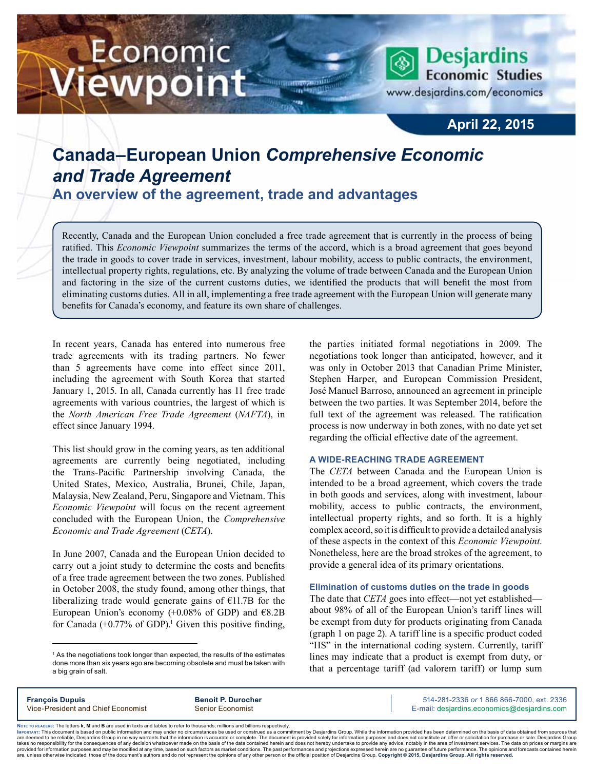# Economic iewpoint

**Desjardins Economic Studies** www.desjardins.com/economics

## **April 22, 2015**

## **Canada–European Union** *Comprehensive Economic and Trade Agreement*

**An overview of the agreement, trade and advantages**

Recently, Canada and the European Union concluded a free trade agreement that is currently in the process of being ratified. This *Economic Viewpoint* summarizes the terms of the accord, which is a broad agreement that goes beyond the trade in goods to cover trade in services, investment, labour mobility, access to public contracts, the environment, intellectual property rights, regulations, etc. By analyzing the volume of trade between Canada and the European Union and factoring in the size of the current customs duties, we identified the products that will benefit the most from eliminating customs duties. All in all, implementing a free trade agreement with the European Union will generate many benefits for Canada's economy, and feature its own share of challenges.

In recent years, Canada has entered into numerous free trade agreements with its trading partners. No fewer than 5 agreements have come into effect since 2011, including the agreement with South Korea that started January 1, 2015. In all, Canada currently has 11 free trade agreements with various countries, the largest of which is the *North American Free Trade Agreement* (*NAFTA*), in effect since January 1994.

This list should grow in the coming years, as ten additional agreements are currently being negotiated, including the Trans-Pacific Partnership involving Canada, the United States, Mexico, Australia, Brunei, Chile, Japan, Malaysia, New Zealand, Peru, Singapore and Vietnam. This *Economic Viewpoint* will focus on the recent agreement concluded with the European Union, the *Comprehensive Economic and Trade Agreement* (*CETA*).

In June 2007, Canada and the European Union decided to carry out a joint study to determine the costs and benefits of a free trade agreement between the two zones. Published in October 2008, the study found, among other things, that liberalizing trade would generate gains of  $E11.7B$  for the European Union's economy  $(+0.08\%$  of GDP) and  $\epsilon$ 8.2B for Canada  $(+0.77\%$  of GDP).<sup>1</sup> Given this positive finding,

<sup>1</sup> As the negotiations took longer than expected, the results of the estimates done more than six years ago are becoming obsolete and must be taken with a big grain of salt.

the parties initiated formal negotiations in 2009. The negotiations took longer than anticipated, however, and it was only in October 2013 that Canadian Prime Minister, Stephen Harper, and European Commission President, José Manuel Barroso, announced an agreement in principle between the two parties. It was September 2014, before the full text of the agreement was released. The ratification process is now underway in both zones, with no date yet set regarding the official effective date of the agreement.

#### **A wide-reaching trade agreement**

The *CETA* between Canada and the European Union is intended to be a broad agreement, which covers the trade in both goods and services, along with investment, labour mobility, access to public contracts, the environment, intellectual property rights, and so forth. It is a highly complex accord, so it is difficult to provide a detailed analysis of these aspects in the context of this *Economic Viewpoint*. Nonetheless, here are the broad strokes of the agreement, to provide a general idea of its primary orientations.

#### **Elimination of customs duties on the trade in goods**

The date that *CETA* goes into effect—not yet established about 98% of all of the European Union's tariff lines will be exempt from duty for products originating from Canada (graph 1 on page 2). A tariff line is a specific product coded "HS" in the international coding system. Currently, tariff lines may indicate that a product is exempt from duty, or that a percentage tariff (ad valorem tariff) or lump sum

**François Dupuis Benoit P. Durocher** 514-281-2336 *or* 1 866 866-7000, ext. 2336 Vice-President and Chief Economist Senior Economist Senior Economist E-mail: desjardins.economics@desjardins.com

Noте то келоекs: The letters **k, M** and **B** are used in texts and tables to refer to thousands, millions and billions respectively.<br>Імроктлит: This document is based on public information and may under no circumstances be are deemed to be reliable. Desiardins Group in no way warrants that the information is accurate or complete. The document is provided solely for information purposes and does not constitute an offer or solicitation for pur takes no responsibility for the consequences of any decision whatsoever made on the basis of the data contained herein and does not hereby undertake to provide any advice, notably in the area of investment services. The da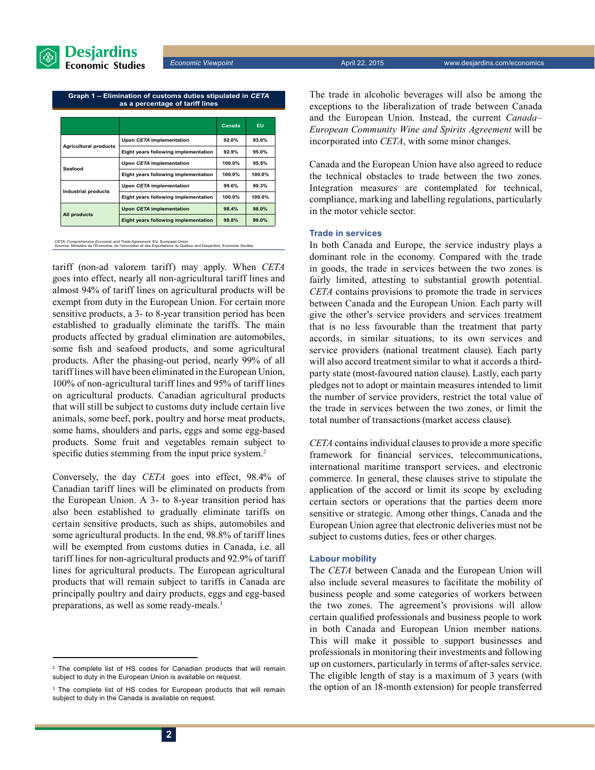

**Graph 1 – Elimination of customs duties stipulated in** *CETA* **as a percentage of tariff lines**

|                              |                                      | Canada | <b>EU</b> |
|------------------------------|--------------------------------------|--------|-----------|
|                              | Upon CETA implementation             | 92.0%  | 93.6%     |
| <b>Agricultural products</b> | Eight years following implementation | 92.9%  | 95.0%     |
| Seafood                      | Upon CETA implementation             | 100.0% | 95.5%     |
|                              | Eight years following implementation | 100.0% | 100.0%    |
|                              | Upon CETA implementation             | 99.6%  | 99.3%     |
| <b>Industrial products</b>   | Eight years following implementation | 100.0% | 100.0%    |
|                              | <b>Upon CETA implementation</b>      | 98.4%  | 98.0%     |
| All products                 | Eight years following implementation | 98.8%  | 99.0%     |

*CETA: Comprehensive Economic and Trade Agreement,* EU: European Union<br>Sources: Ministère de l'Économie, de l'Innovation et des Exportations du Québec and Desjardins, Economic Studies

tariff (non-ad valorem tariff) may apply. When *CETA* goes into effect, nearly all non-agricultural tariff lines and almost 94% of tariff lines on agricultural products will be exempt from duty in the European Union. For certain more sensitive products, a 3- to 8-year transition period has been established to gradually eliminate the tariffs. The main products affected by gradual elimination are automobiles, some fish and seafood products, and some agricultural products. After the phasing-out period, nearly 99% of all tariff lines will have been eliminated in the European Union, 100% of non-agricultural tariff lines and 95% of tariff lines on agricultural products. Canadian agricultural products that will still be subject to customs duty include certain live animals, some beef, pork, poultry and horse meat products, some hams, shoulders and parts, eggs and some egg-based products. Some fruit and vegetables remain subject to specific duties stemming from the input price system.<sup>2</sup>

Conversely, the day *CETA* goes into effect, 98.4% of Canadian tariff lines will be eliminated on products from the European Union. A 3- to 8-year transition period has also been established to gradually eliminate tariffs on certain sensitive products, such as ships, automobiles and some agricultural products. In the end, 98.8% of tariff lines will be exempted from customs duties in Canada, i.e. all tariff lines for non-agricultural products and 92.9% of tariff lines for agricultural products. The European agricultural products that will remain subject to tariffs in Canada are principally poultry and dairy products, eggs and egg-based preparations, as well as some ready-meals.3

<sup>2</sup> The complete list of HS codes for Canadian products that will remain subject to duty in the European Union is available on request.

<sup>3</sup> The complete list of HS codes for European products that will remain subject to duty in the Canada is available on request.

The trade in alcoholic beverages will also be among the exceptions to the liberalization of trade between Canada and the European Union. Instead, the current *Canada– European Community Wine and Spirits Agreement* will be incorporated into *CETA*, with some minor changes.

Canada and the European Union have also agreed to reduce the technical obstacles to trade between the two zones. Integration measures are contemplated for technical, compliance, marking and labelling regulations, particularly in the motor vehicle sector.

#### **Trade in services**

In both Canada and Europe, the service industry plays a dominant role in the economy. Compared with the trade in goods, the trade in services between the two zones is fairly limited, attesting to substantial growth potential. *CETA* contains provisions to promote the trade in services between Canada and the European Union. Each party will give the other's service providers and services treatment that is no less favourable than the treatment that party accords, in similar situations, to its own services and service providers (national treatment clause). Each party will also accord treatment similar to what it accords a thirdparty state (most-favoured nation clause). Lastly, each party pledges not to adopt or maintain measures intended to limit the number of service providers, restrict the total value of the trade in services between the two zones, or limit the total number of transactions (market access clause).

*CETA* contains individual clauses to provide a more specific framework for financial services, telecommunications, international maritime transport services, and electronic commerce. In general, these clauses strive to stipulate the application of the accord or limit its scope by excluding certain sectors or operations that the parties deem more sensitive or strategic. Among other things, Canada and the European Union agree that electronic deliveries must not be subject to customs duties, fees or other charges.

#### **Labour mobility**

The *CETA* between Canada and the European Union will also include several measures to facilitate the mobility of business people and some categories of workers between the two zones. The agreement's provisions will allow certain qualified professionals and business people to work in both Canada and European Union member nations. This will make it possible to support businesses and professionals in monitoring their investments and following up on customers, particularly in terms of after-sales service. The eligible length of stay is a maximum of 3 years (with the option of an 18-month extension) for people transferred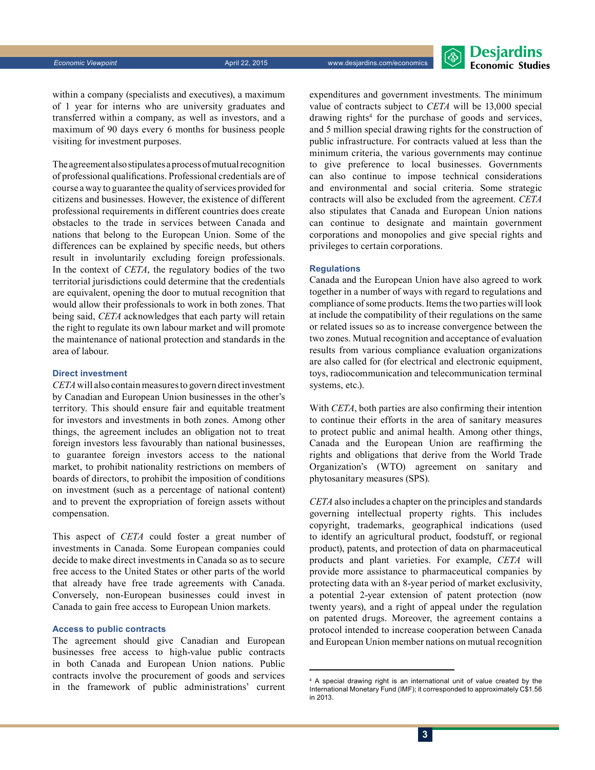

within a company (specialists and executives), a maximum of 1 year for interns who are university graduates and transferred within a company, as well as investors, and a maximum of 90 days every 6 months for business people visiting for investment purposes.

The agreement also stipulates a process of mutual recognition of professional qualifications. Professional credentials are of course a way to guarantee the quality of services provided for citizens and businesses. However, the existence of different professional requirements in different countries does create obstacles to the trade in services between Canada and nations that belong to the European Union. Some of the differences can be explained by specific needs, but others result in involuntarily excluding foreign professionals. In the context of *CETA*, the regulatory bodies of the two territorial jurisdictions could determine that the credentials are equivalent, opening the door to mutual recognition that would allow their professionals to work in both zones. That being said, *CETA* acknowledges that each party will retain the right to regulate its own labour market and will promote the maintenance of national protection and standards in the area of labour.

#### **Direct investment**

*CETA* will also contain measures to govern direct investment by Canadian and European Union businesses in the other's territory. This should ensure fair and equitable treatment for investors and investments in both zones. Among other things, the agreement includes an obligation not to treat foreign investors less favourably than national businesses, to guarantee foreign investors access to the national market, to prohibit nationality restrictions on members of boards of directors, to prohibit the imposition of conditions on investment (such as a percentage of national content) and to prevent the expropriation of foreign assets without compensation.

This aspect of *CETA* could foster a great number of investments in Canada. Some European companies could decide to make direct investments in Canada so as to secure free access to the United States or other parts of the world that already have free trade agreements with Canada. Conversely, non-European businesses could invest in Canada to gain free access to European Union markets.

#### **Access to public contracts**

The agreement should give Canadian and European businesses free access to high-value public contracts in both Canada and European Union nations. Public contracts involve the procurement of goods and services in the framework of public administrations' current expenditures and government investments. The minimum value of contracts subject to *CETA* will be 13,000 special drawing rights<sup>4</sup> for the purchase of goods and services, and 5 million special drawing rights for the construction of public infrastructure. For contracts valued at less than the minimum criteria, the various governments may continue to give preference to local businesses. Governments can also continue to impose technical considerations and environmental and social criteria. Some strategic contracts will also be excluded from the agreement. *CETA* also stipulates that Canada and European Union nations can continue to designate and maintain government corporations and monopolies and give special rights and privileges to certain corporations.

#### **Regulations**

Canada and the European Union have also agreed to work together in a number of ways with regard to regulations and compliance of some products. Items the two parties will look at include the compatibility of their regulations on the same or related issues so as to increase convergence between the two zones. Mutual recognition and acceptance of evaluation results from various compliance evaluation organizations are also called for (for electrical and electronic equipment, toys, radiocommunication and telecommunication terminal systems, etc.).

With *CETA*, both parties are also confirming their intention to continue their efforts in the area of sanitary measures to protect public and animal health. Among other things, Canada and the European Union are reaffirming the rights and obligations that derive from the World Trade Organization's (WTO) agreement on sanitary and phytosanitary measures (SPS).

*CETA* also includes a chapter on the principles and standards governing intellectual property rights. This includes copyright, trademarks, geographical indications (used to identify an agricultural product, foodstuff, or regional product), patents, and protection of data on pharmaceutical products and plant varieties. For example, *CETA* will provide more assistance to pharmaceutical companies by protecting data with an 8-year period of market exclusivity, a potential 2-year extension of patent protection (now twenty years), and a right of appeal under the regulation on patented drugs. Moreover, the agreement contains a protocol intended to increase cooperation between Canada and European Union member nations on mutual recognition

<sup>4</sup> A special drawing right is an international unit of value created by the International Monetary Fund (IMF); it corresponded to approximately C\$1.56 in 2013.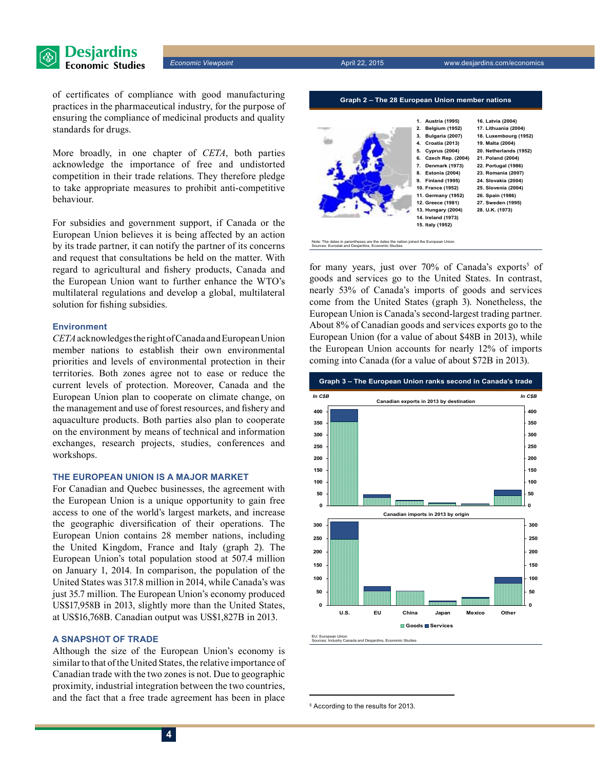

of certificates of compliance with good manufacturing practices in the pharmaceutical industry, for the purpose of ensuring the compliance of medicinal products and quality standards for drugs.

More broadly, in one chapter of *CETA*, both parties acknowledge the importance of free and undistorted competition in their trade relations. They therefore pledge to take appropriate measures to prohibit anti-competitive behaviour.

For subsidies and government support, if Canada or the European Union believes it is being affected by an action by its trade partner, it can notify the partner of its concerns and request that consultations be held on the matter. With regard to agricultural and fishery products, Canada and the European Union want to further enhance the WTO's multilateral regulations and develop a global, multilateral solution for fishing subsidies.

#### **Environment**

*CETA* acknowledges the right of Canada and EuropeanUnion member nations to establish their own environmental priorities and levels of environmental protection in their territories. Both zones agree not to ease or reduce the current levels of protection. Moreover, Canada and the European Union plan to cooperate on climate change, on the management and use of forest resources, and fishery and aquaculture products. Both parties also plan to cooperate on the environment by means of technical and information exchanges, research projects, studies, conferences and workshops.

#### **The European Union is a major market**

For Canadian and Quebec businesses, the agreement with the European Union is a unique opportunity to gain free access to one of the world's largest markets, and increase the geographic diversification of their operations. The European Union contains 28 member nations, including the United Kingdom, France and Italy (graph 2). The European Union's total population stood at 507.4 million on January 1, 2014. In comparison, the population of the United States was 317.8 million in 2014, while Canada's was just 35.7 million. The European Union's economy produced US\$17,958B in 2013, slightly more than the United States, at US\$16,768B. Canadian output was US\$1,827B in 2013.

#### **A snapshot of trade**

Although the size of the European Union's economy is similar to that of the United States, the relative importance of Canadian trade with the two zones is not. Due to geographic proximity, industrial integration between the two countries, and the fact that a free trade agreement has been in place

**1. Austria (1995) 2. Belgium (1952) 3. Bulgaria (2007) 4. Croatia (2013) 5. Cyprus (2004) 6. Czech Rep. (2004) 7. Denmark (1973) 8. Estonia (2004) 9. Finland (1995) 10. France (1952) 11. Germany (1952) 12. Greece (1981) 13. Hungary (2004) 14. Ireland (1973) 15. Italy (1952) 16. Latvia (2004) 17. Lithuania (2004) 18. Luxembourg (1952) 19. Malta (2004) 20. Netherlands (1952) 21. Poland (2004) 22. Portugal (1986) 23. Romania (2007) 24. Slovakia (2004) 25. Slovenia (2004) 26. Spain (1986) 27. Sweden (1995) 28. U.K. (1973)**

**Graph 2 – The 28 European Union member nations**

on joined the European Union Sources: Eurostat and Desjardins, Economic Studies

*Economic Viewpoint* April 22, 2015 www.desjardins.com/economics

for many years, just over 70% of Canada's exports<sup>5</sup> of goods and services go to the United States. In contrast, nearly 53% of Canada's imports of goods and services come from the United States (graph 3). Nonetheless, the European Union is Canada's second-largest trading partner. About 8% of Canadian goods and services exports go to the European Union (for a value of about \$48B in 2013), while the European Union accounts for nearly 12% of imports coming into Canada (for a value of about \$72B in 2013).



5 According to the results for 2013.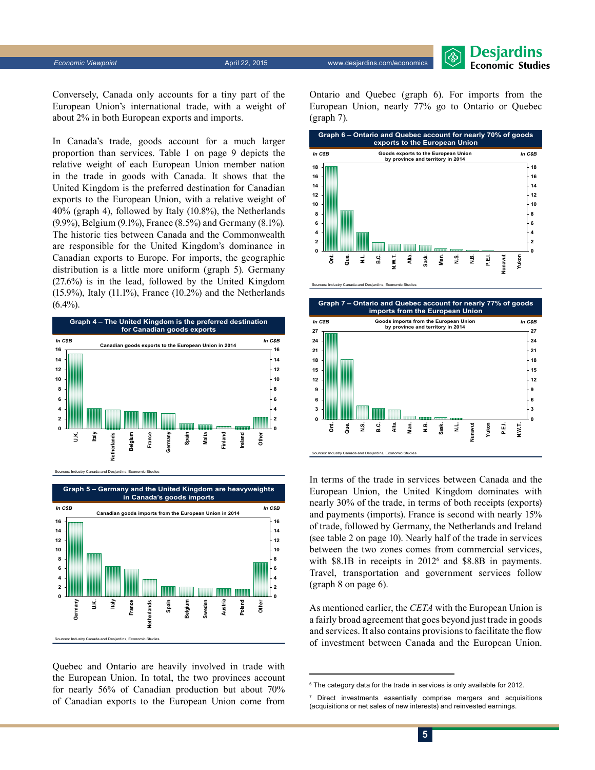**Desjardins Economic Studies** 

Conversely, Canada only accounts for a tiny part of the European Union's international trade, with a weight of about 2% in both European exports and imports.

In Canada's trade, goods account for a much larger proportion than services. Table 1 on page 9 depicts the relative weight of each European Union member nation in the trade in goods with Canada. It shows that the United Kingdom is the preferred destination for Canadian exports to the European Union, with a relative weight of 40% (graph 4), followed by Italy (10.8%), the Netherlands (9.9%), Belgium (9.1%), France (8.5%) and Germany (8.1%). The historic ties between Canada and the Commonwealth are responsible for the United Kingdom's dominance in Canadian exports to Europe. For imports, the geographic distribution is a little more uniform (graph 5). Germany (27.6%) is in the lead, followed by the United Kingdom (15.9%), Italy (11.1%), France (10.2%) and the Netherlands  $(6.4\%)$ .



Sources: Industry Canada and Desjardins, Economic Studies



Quebec and Ontario are heavily involved in trade with the European Union. In total, the two provinces account for nearly 56% of Canadian production but about 70% of Canadian exports to the European Union come from Ontario and Quebec (graph 6). For imports from the European Union, nearly 77% go to Ontario or Quebec (graph 7).



Sources: Industry Canada and Desjardins, Economic Studies



In terms of the trade in services between Canada and the European Union, the United Kingdom dominates with nearly 30% of the trade, in terms of both receipts (exports) and payments (imports). France is second with nearly 15% of trade, followed by Germany, the Netherlands and Ireland (see table 2 on page 10). Nearly half of the trade in services between the two zones comes from commercial services, with \$8.1B in receipts in 2012<sup>6</sup> and \$8.8B in payments. Travel, transportation and government services follow (graph 8 on page 6).

As mentioned earlier, the *CETA* with the European Union is a fairly broad agreement that goes beyond just trade in goods and services. It also contains provisions to facilitate the flow of investment between Canada and the European Union.

<sup>6</sup> The category data for the trade in services is only available for 2012.

<sup>7</sup> Direct investments essentially comprise mergers and acquisitions (acquisitions or net sales of new interests) and reinvested earnings.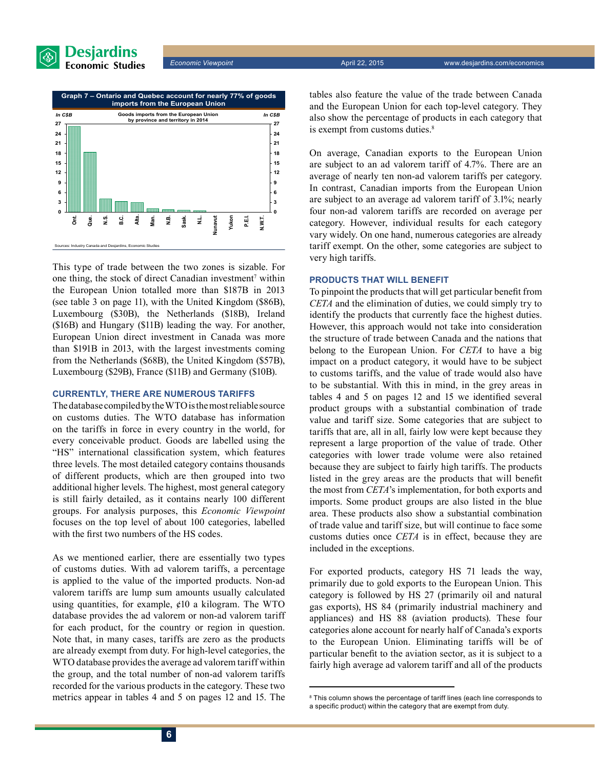





This type of trade between the two zones is sizable. For one thing, the stock of direct Canadian investment<sup>7</sup> within the European Union totalled more than \$187B in 2013 (see table 3 on page 11), with the United Kingdom (\$86B), Luxembourg (\$30B), the Netherlands (\$18B), Ireland (\$16B) and Hungary (\$11B) leading the way. For another, European Union direct investment in Canada was more than \$191B in 2013, with the largest investments coming from the Netherlands (\$68B), the United Kingdom (\$57B), Luxembourg (\$29B), France (\$11B) and Germany (\$10B).

#### **Currently, there are numerous tariffs**

The database compiled by the WTO is the most reliable source on customs duties. The WTO database has information on the tariffs in force in every country in the world, for every conceivable product. Goods are labelled using the "HS" international classification system, which features three levels. The most detailed category contains thousands of different products, which are then grouped into two additional higher levels. The highest, most general category is still fairly detailed, as it contains nearly 100 different groups. For analysis purposes, this *Economic Viewpoint* focuses on the top level of about 100 categories, labelled with the first two numbers of the HS codes.

As we mentioned earlier, there are essentially two types of customs duties. With ad valorem tariffs, a percentage is applied to the value of the imported products. Non-ad valorem tariffs are lump sum amounts usually calculated using quantities, for example,  $\phi$ 10 a kilogram. The WTO database provides the ad valorem or non-ad valorem tariff for each product, for the country or region in question. Note that, in many cases, tariffs are zero as the products are already exempt from duty. For high-level categories, the WTO database provides the average ad valorem tariff within the group, and the total number of non-ad valorem tariffs recorded for the various products in the category. These two metrics appear in tables 4 and 5 on pages 12 and 15. The tables also feature the value of the trade between Canada and the European Union for each top-level category. They also show the percentage of products in each category that is exempt from customs duties.<sup>8</sup>

On average, Canadian exports to the European Union are subject to an ad valorem tariff of 4.7%. There are an average of nearly ten non-ad valorem tariffs per category. In contrast, Canadian imports from the European Union are subject to an average ad valorem tariff of 3.1%; nearly four non-ad valorem tariffs are recorded on average per category. However, individual results for each category vary widely. On one hand, numerous categories are already tariff exempt. On the other, some categories are subject to very high tariffs.

#### **Products that will benefit**

To pinpoint the products that will get particular benefit from *CETA* and the elimination of duties, we could simply try to identify the products that currently face the highest duties. However, this approach would not take into consideration the structure of trade between Canada and the nations that belong to the European Union. For *CETA* to have a big impact on a product category, it would have to be subject to customs tariffs, and the value of trade would also have to be substantial. With this in mind, in the grey areas in tables 4 and 5 on pages 12 and 15 we identified several product groups with a substantial combination of trade value and tariff size. Some categories that are subject to tariffs that are, all in all, fairly low were kept because they represent a large proportion of the value of trade. Other categories with lower trade volume were also retained because they are subject to fairly high tariffs. The products listed in the grey areas are the products that will benefit the most from *CETA*'s implementation, for both exports and imports. Some product groups are also listed in the blue area. These products also show a substantial combination of trade value and tariff size, but will continue to face some customs duties once *CETA* is in effect, because they are included in the exceptions.

For exported products, category HS 71 leads the way, primarily due to gold exports to the European Union. This category is followed by HS 27 (primarily oil and natural gas exports), HS 84 (primarily industrial machinery and appliances) and HS 88 (aviation products). These four categories alone account for nearly half of Canada's exports to the European Union. Eliminating tariffs will be of particular benefit to the aviation sector, as it is subject to a fairly high average ad valorem tariff and all of the products

<sup>&</sup>lt;sup>8</sup> This column shows the percentage of tariff lines (each line corresponds to a specific product) within the category that are exempt from duty.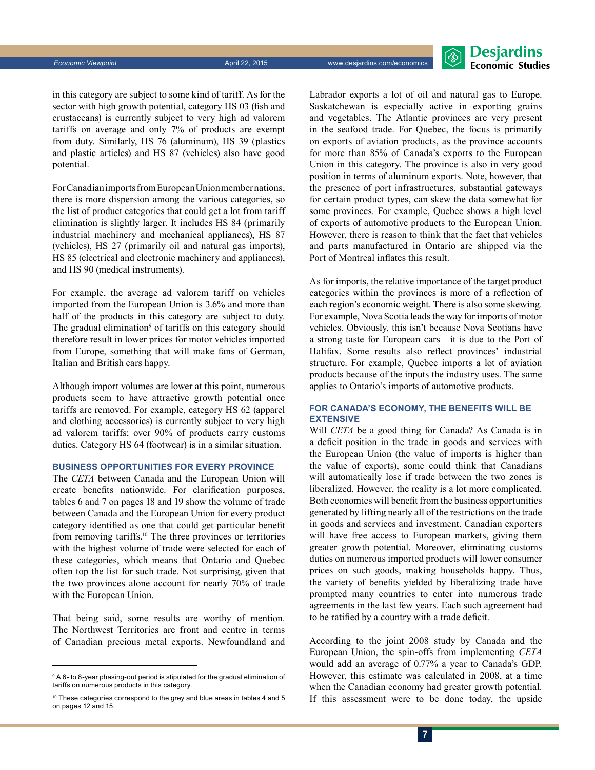

in this category are subject to some kind of tariff. As for the sector with high growth potential, category HS 03 (fish and crustaceans) is currently subject to very high ad valorem tariffs on average and only 7% of products are exempt from duty. Similarly, HS 76 (aluminum), HS 39 (plastics and plastic articles) and HS 87 (vehicles) also have good potential.

For Canadian imports from EuropeanUnion member nations, there is more dispersion among the various categories, so the list of product categories that could get a lot from tariff elimination is slightly larger. It includes HS 84 (primarily industrial machinery and mechanical appliances), HS 87 (vehicles), HS 27 (primarily oil and natural gas imports), HS 85 (electrical and electronic machinery and appliances), and HS 90 (medical instruments).

For example, the average ad valorem tariff on vehicles imported from the European Union is 3.6% and more than half of the products in this category are subject to duty. The gradual elimination<sup>9</sup> of tariffs on this category should therefore result in lower prices for motor vehicles imported from Europe, something that will make fans of German, Italian and British cars happy.

Although import volumes are lower at this point, numerous products seem to have attractive growth potential once tariffs are removed. For example, category HS 62 (apparel and clothing accessories) is currently subject to very high ad valorem tariffs; over 90% of products carry customs duties. Category HS 64 (footwear) is in a similar situation.

#### **Business opportunities for every province**

The *CETA* between Canada and the European Union will create benefits nationwide. For clarification purposes, tables 6 and 7 on pages 18 and 19 show the volume of trade between Canada and the European Union for every product category identified as one that could get particular benefit from removing tariffs.10 The three provinces or territories with the highest volume of trade were selected for each of these categories, which means that Ontario and Quebec often top the list for such trade. Not surprising, given that the two provinces alone account for nearly 70% of trade with the European Union.

That being said, some results are worthy of mention. The Northwest Territories are front and centre in terms of Canadian precious metal exports. Newfoundland and Labrador exports a lot of oil and natural gas to Europe. Saskatchewan is especially active in exporting grains and vegetables. The Atlantic provinces are very present in the seafood trade. For Quebec, the focus is primarily on exports of aviation products, as the province accounts for more than 85% of Canada's exports to the European Union in this category. The province is also in very good position in terms of aluminum exports. Note, however, that the presence of port infrastructures, substantial gateways for certain product types, can skew the data somewhat for some provinces. For example, Quebec shows a high level of exports of automotive products to the European Union. However, there is reason to think that the fact that vehicles and parts manufactured in Ontario are shipped via the Port of Montreal inflates this result.

As for imports, the relative importance of the target product categories within the provinces is more of a reflection of each region's economic weight. There is also some skewing. For example, Nova Scotia leads the way for imports of motor vehicles. Obviously, this isn't because Nova Scotians have a strong taste for European cars—it is due to the Port of Halifax. Some results also reflect provinces' industrial structure. For example, Quebec imports a lot of aviation products because of the inputs the industry uses. The same applies to Ontario's imports of automotive products.

#### **For Canada's economy, the benefits will be extensive**

Will *CETA* be a good thing for Canada? As Canada is in a deficit position in the trade in goods and services with the European Union (the value of imports is higher than the value of exports), some could think that Canadians will automatically lose if trade between the two zones is liberalized. However, the reality is a lot more complicated. Both economies will benefit from the business opportunities generated by lifting nearly all of the restrictions on the trade in goods and services and investment. Canadian exporters will have free access to European markets, giving them greater growth potential. Moreover, eliminating customs duties on numerous imported products will lower consumer prices on such goods, making households happy. Thus, the variety of benefits yielded by liberalizing trade have prompted many countries to enter into numerous trade agreements in the last few years. Each such agreement had to be ratified by a country with a trade deficit.

According to the joint 2008 study by Canada and the European Union, the spin-offs from implementing *CETA* would add an average of 0.77% a year to Canada's GDP. However, this estimate was calculated in 2008, at a time when the Canadian economy had greater growth potential. If this assessment were to be done today, the upside

<sup>&</sup>lt;sup>9</sup> A 6- to 8-year phasing-out period is stipulated for the gradual elimination of tariffs on numerous products in this category.

<sup>&</sup>lt;sup>10</sup> These categories correspond to the grey and blue areas in tables 4 and 5 on pages 12 and 15.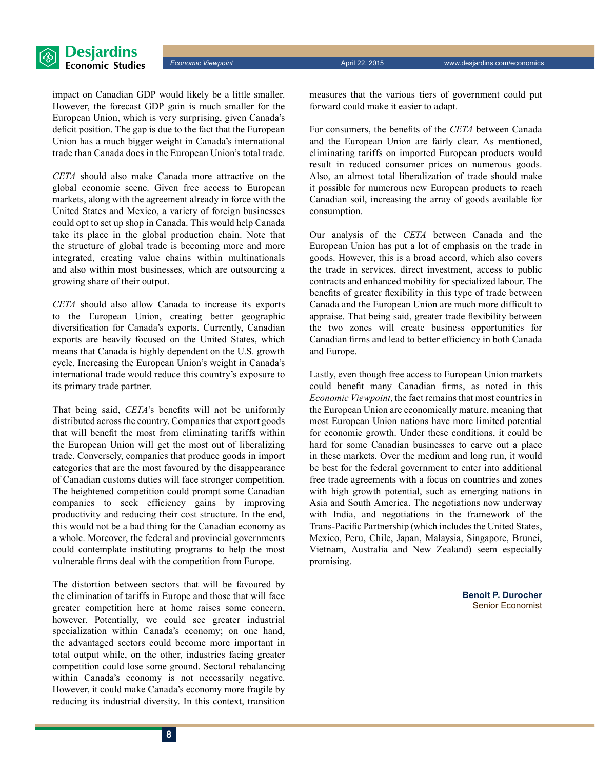

impact on Canadian GDP would likely be a little smaller. However, the forecast GDP gain is much smaller for the European Union, which is very surprising, given Canada's deficit position. The gap is due to the fact that the European Union has a much bigger weight in Canada's international trade than Canada does in the European Union's total trade.

*CETA* should also make Canada more attractive on the global economic scene. Given free access to European markets, along with the agreement already in force with the United States and Mexico, a variety of foreign businesses could opt to set up shop in Canada. This would help Canada take its place in the global production chain. Note that the structure of global trade is becoming more and more integrated, creating value chains within multinationals and also within most businesses, which are outsourcing a growing share of their output.

*CETA* should also allow Canada to increase its exports to the European Union, creating better geographic diversification for Canada's exports. Currently, Canadian exports are heavily focused on the United States, which means that Canada is highly dependent on the U.S. growth cycle. Increasing the European Union's weight in Canada's international trade would reduce this country's exposure to its primary trade partner.

That being said, *CETA*'s benefits will not be uniformly distributed across the country. Companies that export goods that will benefit the most from eliminating tariffs within the European Union will get the most out of liberalizing trade. Conversely, companies that produce goods in import categories that are the most favoured by the disappearance of Canadian customs duties will face stronger competition. The heightened competition could prompt some Canadian companies to seek efficiency gains by improving productivity and reducing their cost structure. In the end, this would not be a bad thing for the Canadian economy as a whole. Moreover, the federal and provincial governments could contemplate instituting programs to help the most vulnerable firms deal with the competition from Europe.

The distortion between sectors that will be favoured by the elimination of tariffs in Europe and those that will face greater competition here at home raises some concern, however. Potentially, we could see greater industrial specialization within Canada's economy; on one hand, the advantaged sectors could become more important in total output while, on the other, industries facing greater competition could lose some ground. Sectoral rebalancing within Canada's economy is not necessarily negative. However, it could make Canada's economy more fragile by reducing its industrial diversity. In this context, transition measures that the various tiers of government could put forward could make it easier to adapt.

For consumers, the benefits of the *CETA* between Canada and the European Union are fairly clear. As mentioned, eliminating tariffs on imported European products would result in reduced consumer prices on numerous goods. Also, an almost total liberalization of trade should make it possible for numerous new European products to reach Canadian soil, increasing the array of goods available for consumption.

Our analysis of the *CETA* between Canada and the European Union has put a lot of emphasis on the trade in goods. However, this is a broad accord, which also covers the trade in services, direct investment, access to public contracts and enhanced mobility for specialized labour. The benefits of greater flexibility in this type of trade between Canada and the European Union are much more difficult to appraise. That being said, greater trade flexibility between the two zones will create business opportunities for Canadian firms and lead to better efficiency in both Canada and Europe.

Lastly, even though free access to European Union markets could benefit many Canadian firms, as noted in this *Economic Viewpoint*, the fact remains that most countries in the European Union are economically mature, meaning that most European Union nations have more limited potential for economic growth. Under these conditions, it could be hard for some Canadian businesses to carve out a place in these markets. Over the medium and long run, it would be best for the federal government to enter into additional free trade agreements with a focus on countries and zones with high growth potential, such as emerging nations in Asia and South America. The negotiations now underway with India, and negotiations in the framework of the Trans-Pacific Partnership (which includes the United States, Mexico, Peru, Chile, Japan, Malaysia, Singapore, Brunei, Vietnam, Australia and New Zealand) seem especially promising.

> **Benoit P. Durocher** Senior Economist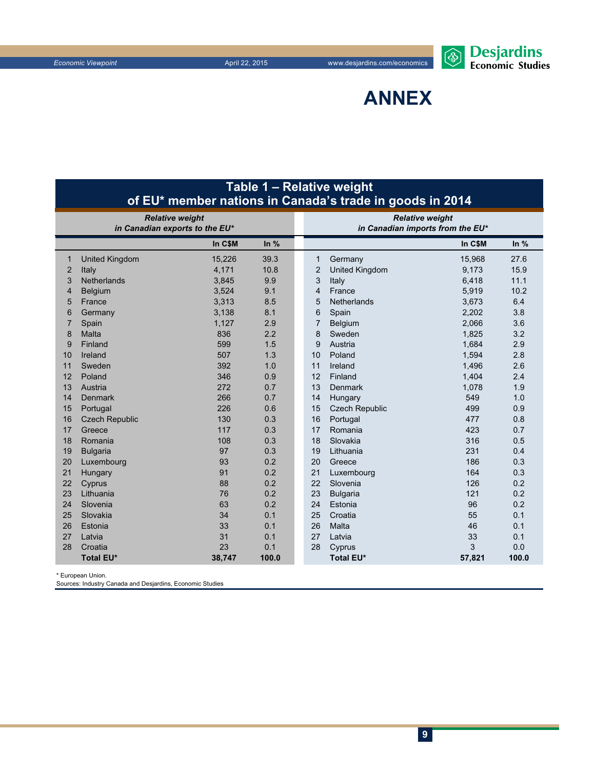

**Annex**

|                | Table 1 – Relative weight<br>of EU <sup>*</sup> member nations in Canada's trade in goods in 2014 |         |        |  |                        |                                  |         |        |  |  |
|----------------|---------------------------------------------------------------------------------------------------|---------|--------|--|------------------------|----------------------------------|---------|--------|--|--|
|                | <b>Relative weight</b>                                                                            |         |        |  | <b>Relative weight</b> |                                  |         |        |  |  |
|                | in Canadian exports to the EU*                                                                    |         |        |  |                        | in Canadian imports from the EU* |         |        |  |  |
|                |                                                                                                   | In C\$M | In $%$ |  |                        |                                  | In C\$M | In $%$ |  |  |
| 1              | <b>United Kingdom</b>                                                                             | 15,226  | 39.3   |  | 1                      | Germany                          | 15,968  | 27.6   |  |  |
| $\overline{2}$ | Italy                                                                                             | 4,171   | 10.8   |  | $\overline{2}$         | United Kingdom                   | 9,173   | 15.9   |  |  |
| 3              | Netherlands                                                                                       | 3,845   | 9.9    |  | 3                      | Italy                            | 6,418   | 11.1   |  |  |
| 4              | Belgium                                                                                           | 3,524   | 9.1    |  | 4                      | France                           | 5,919   | 10.2   |  |  |
| 5              | France                                                                                            | 3,313   | 8.5    |  | 5                      | Netherlands                      | 3,673   | 6.4    |  |  |
| 6              | Germany                                                                                           | 3,138   | 8.1    |  | 6                      | Spain                            | 2,202   | 3.8    |  |  |
| 7              | Spain                                                                                             | 1,127   | 2.9    |  | $\overline{7}$         | Belgium                          | 2,066   | 3.6    |  |  |
| 8              | Malta                                                                                             | 836     | 2.2    |  | 8                      | Sweden                           | 1,825   | 3.2    |  |  |
| 9              | Finland                                                                                           | 599     | 1.5    |  | 9                      | Austria                          | 1,684   | 2.9    |  |  |
| 10             | Ireland                                                                                           | 507     | 1.3    |  | 10                     | Poland                           | 1,594   | 2.8    |  |  |
| 11             | Sweden                                                                                            | 392     | 1.0    |  | 11                     | Ireland                          | 1,496   | 2.6    |  |  |
| 12             | Poland                                                                                            | 346     | 0.9    |  | 12                     | Finland                          | 1,404   | 2.4    |  |  |
| 13             | Austria                                                                                           | 272     | 0.7    |  | 13                     | <b>Denmark</b>                   | 1,078   | 1.9    |  |  |
| 14             | Denmark                                                                                           | 266     | 0.7    |  | 14                     | Hungary                          | 549     | 1.0    |  |  |
| 15             | Portugal                                                                                          | 226     | 0.6    |  | 15                     | <b>Czech Republic</b>            | 499     | 0.9    |  |  |
| 16             | <b>Czech Republic</b>                                                                             | 130     | 0.3    |  | 16                     | Portugal                         | 477     | 0.8    |  |  |
| 17             | Greece                                                                                            | 117     | 0.3    |  | 17                     | Romania                          | 423     | 0.7    |  |  |
| 18             | Romania                                                                                           | 108     | 0.3    |  | 18                     | Slovakia                         | 316     | 0.5    |  |  |
| 19             | <b>Bulgaria</b>                                                                                   | 97      | 0.3    |  | 19                     | Lithuania                        | 231     | 0.4    |  |  |
| 20             | Luxembourg                                                                                        | 93      | 0.2    |  | 20                     | Greece                           | 186     | 0.3    |  |  |
| 21             | Hungary                                                                                           | 91      | 0.2    |  | 21                     | Luxembourg                       | 164     | 0.3    |  |  |
| 22             | Cyprus                                                                                            | 88      | 0.2    |  | 22                     | Slovenia                         | 126     | 0.2    |  |  |
| 23             | Lithuania                                                                                         | 76      | 0.2    |  | 23                     | <b>Bulgaria</b>                  | 121     | 0.2    |  |  |
| 24             | Slovenia                                                                                          | 63      | 0.2    |  | 24                     | Estonia                          | 96      | 0.2    |  |  |
| 25             | Slovakia                                                                                          | 34      | 0.1    |  | 25                     | Croatia                          | 55      | 0.1    |  |  |
| 26             | Estonia                                                                                           | 33      | 0.1    |  | 26                     | Malta                            | 46      | 0.1    |  |  |
| 27             | Latvia                                                                                            | 31      | 0.1    |  | 27                     | Latvia                           | 33      | 0.1    |  |  |
| 28             | Croatia                                                                                           | 23      | 0.1    |  | 28                     | Cyprus                           | 3       | 0.0    |  |  |
|                | <b>Total EU*</b>                                                                                  | 38,747  | 100.0  |  |                        | <b>Total EU*</b>                 | 57,821  | 100.0  |  |  |

\* European Union.

Sources: Industry Canada and Desjardins, Economic Studies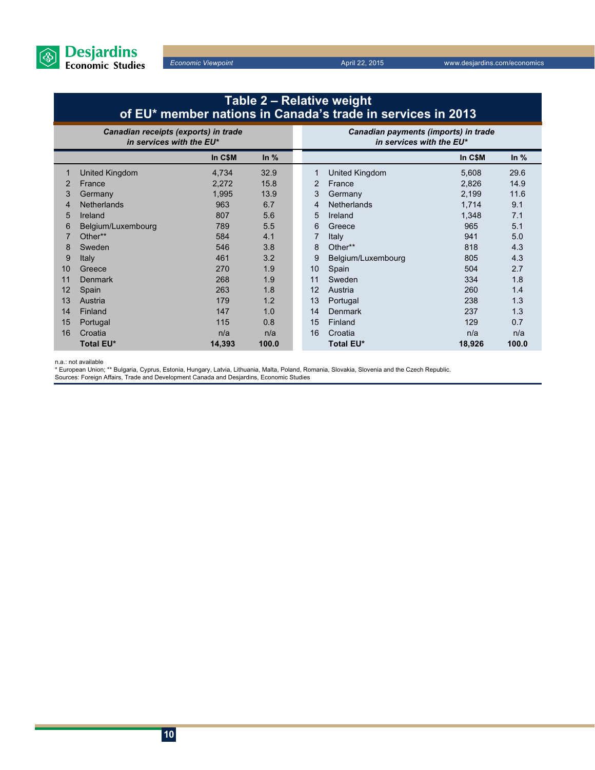

## **Table 2 – Relative weight of EU\* member nations in Canada's trade in services in 2013**

|    | Canadian receipts (exports) in trade<br>in services with the EU* |         |        |  | Canadian payments (imports) in trade<br>in services with the EU* |                    |         |        |  |
|----|------------------------------------------------------------------|---------|--------|--|------------------------------------------------------------------|--------------------|---------|--------|--|
|    |                                                                  | In C\$M | In $%$ |  |                                                                  |                    | In C\$M | In $%$ |  |
|    | United Kingdom                                                   | 4,734   | 32.9   |  | 1                                                                | United Kingdom     | 5,608   | 29.6   |  |
| 2  | France                                                           | 2,272   | 15.8   |  | 2                                                                | France             | 2,826   | 14.9   |  |
| 3  | Germany                                                          | 1,995   | 13.9   |  | 3                                                                | Germany            | 2,199   | 11.6   |  |
| 4  | <b>Netherlands</b>                                               | 963     | 6.7    |  | 4                                                                | <b>Netherlands</b> | 1,714   | 9.1    |  |
| 5  | Ireland                                                          | 807     | 5.6    |  | 5                                                                | Ireland            | 1,348   | 7.1    |  |
| 6  | Belgium/Luxembourg                                               | 789     | 5.5    |  | 6                                                                | Greece             | 965     | 5.1    |  |
|    | Other**                                                          | 584     | 4.1    |  |                                                                  | Italy              | 941     | 5.0    |  |
| 8  | Sweden                                                           | 546     | 3.8    |  | 8                                                                | Other**            | 818     | 4.3    |  |
| 9  | <b>Italy</b>                                                     | 461     | 3.2    |  | 9                                                                | Belgium/Luxembourg | 805     | 4.3    |  |
| 10 | Greece                                                           | 270     | 1.9    |  | 10                                                               | Spain              | 504     | 2.7    |  |
| 11 | <b>Denmark</b>                                                   | 268     | 1.9    |  | 11                                                               | Sweden             | 334     | 1.8    |  |
| 12 | Spain                                                            | 263     | 1.8    |  | 12                                                               | Austria            | 260     | 1.4    |  |
| 13 | Austria                                                          | 179     | 1.2    |  | 13                                                               | Portugal           | 238     | 1.3    |  |
| 14 | Finland                                                          | 147     | 1.0    |  | 14                                                               | <b>Denmark</b>     | 237     | 1.3    |  |
| 15 | Portugal                                                         | 115     | 0.8    |  | 15                                                               | Finland            | 129     | 0.7    |  |
| 16 | Croatia                                                          | n/a     | n/a    |  | 16                                                               | Croatia            | n/a     | n/a    |  |
|    | <b>Total EU*</b>                                                 | 14,393  | 100.0  |  |                                                                  | Total EU*          | 18,926  | 100.0  |  |

n.a.: not available

\* European Union; \*\* Bulgaria, Cyprus, Estonia, Hungary, Latvia, Lithuania, Malta, Poland, Romania, Slovakia, Slovenia and the Czech Republic.

Sources: Foreign Affairs, Trade and Development Canada and Desjardins, Economic Studies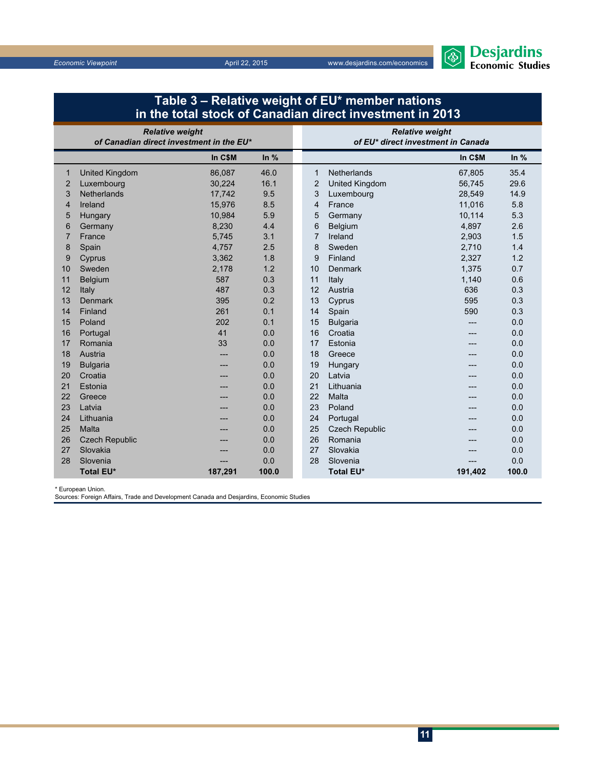

| in the total stock of Canadian direct investment in 2013 |                                                                    |         |       |                                                              |                       |         |        |  |  |
|----------------------------------------------------------|--------------------------------------------------------------------|---------|-------|--------------------------------------------------------------|-----------------------|---------|--------|--|--|
|                                                          | <b>Relative weight</b><br>of Canadian direct investment in the EU* |         |       | <b>Relative weight</b><br>of EU* direct investment in Canada |                       |         |        |  |  |
| In $%$<br>In C\$M                                        |                                                                    |         |       |                                                              |                       | In C\$M | In $%$ |  |  |
| 1                                                        | <b>United Kingdom</b>                                              | 86,087  | 46.0  | 1                                                            | <b>Netherlands</b>    | 67,805  | 35.4   |  |  |
| $\overline{2}$                                           | Luxembourg                                                         | 30,224  | 16.1  | $\overline{2}$                                               | <b>United Kingdom</b> | 56,745  | 29.6   |  |  |
| 3                                                        | <b>Netherlands</b>                                                 | 17,742  | 9.5   | 3                                                            | Luxembourg            | 28,549  | 14.9   |  |  |
| $\overline{4}$                                           | Ireland                                                            | 15,976  | 8.5   | 4                                                            | France                | 11,016  | 5.8    |  |  |
| 5                                                        | Hungary                                                            | 10,984  | 5.9   | 5                                                            | Germany               | 10,114  | 5.3    |  |  |
| 6                                                        | Germany                                                            | 8,230   | 4.4   | 6                                                            | Belgium               | 4,897   | 2.6    |  |  |
| $\overline{7}$                                           | France                                                             | 5,745   | 3.1   | $\overline{7}$                                               | Ireland               | 2,903   | 1.5    |  |  |
| 8                                                        | Spain                                                              | 4,757   | 2.5   | 8                                                            | Sweden                | 2,710   | 1.4    |  |  |
| 9                                                        | Cyprus                                                             | 3,362   | 1.8   | 9                                                            | Finland               | 2,327   | 1.2    |  |  |
| 10                                                       | Sweden                                                             | 2,178   | 1.2   | 10                                                           | <b>Denmark</b>        | 1,375   | 0.7    |  |  |
| 11                                                       | Belgium                                                            | 587     | 0.3   | 11                                                           | Italy                 | 1,140   | 0.6    |  |  |
| 12                                                       | Italy                                                              | 487     | 0.3   | 12                                                           | Austria               | 636     | 0.3    |  |  |
| 13                                                       | <b>Denmark</b>                                                     | 395     | 0.2   | 13                                                           | Cyprus                | 595     | 0.3    |  |  |
| 14                                                       | Finland                                                            | 261     | 0.1   | 14                                                           | Spain                 | 590     | 0.3    |  |  |
| 15                                                       | Poland                                                             | 202     | 0.1   | 15                                                           | <b>Bulgaria</b>       |         | 0.0    |  |  |
| 16                                                       | Portugal                                                           | 41      | 0.0   | 16                                                           | Croatia               | ---     | 0.0    |  |  |
| 17                                                       | Romania                                                            | 33      | 0.0   | 17                                                           | Estonia               |         | 0.0    |  |  |
| 18                                                       | Austria                                                            | ---     | 0.0   | 18                                                           | Greece                | ---     | 0.0    |  |  |
| 19                                                       | <b>Bulgaria</b>                                                    | ---     | 0.0   | 19                                                           | Hungary               | ---     | 0.0    |  |  |
| 20                                                       | Croatia                                                            |         | 0.0   | 20                                                           | Latvia                | ---     | 0.0    |  |  |
| 21                                                       | Estonia                                                            |         | 0.0   | 21                                                           | Lithuania             | ---     | 0.0    |  |  |
| 22                                                       | Greece                                                             |         | 0.0   | 22                                                           | Malta                 |         | 0.0    |  |  |
| 23                                                       | Latvia                                                             |         | 0.0   | 23                                                           | Poland                |         | 0.0    |  |  |
| 24                                                       | Lithuania                                                          |         | 0.0   | 24                                                           | Portugal              |         | 0.0    |  |  |
| 25                                                       | Malta                                                              |         | 0.0   | 25                                                           | <b>Czech Republic</b> |         | 0.0    |  |  |
| 26                                                       | <b>Czech Republic</b>                                              |         | 0.0   | 26                                                           | Romania               |         | 0.0    |  |  |
| 27                                                       | Slovakia                                                           |         | 0.0   | 27                                                           | Slovakia              |         | 0.0    |  |  |
| 28                                                       | Slovenia                                                           |         | 0.0   | 28                                                           | Slovenia              |         | 0.0    |  |  |
|                                                          | <b>Total EU*</b>                                                   | 187,291 | 100.0 |                                                              | <b>Total EU*</b>      | 191,402 | 100.0  |  |  |

## **Table 3 – Relative weight of EU\* member nations**

\* European Union.

Sources: Foreign Affairs, Trade and Development Canada and Desjardins, Economic Studies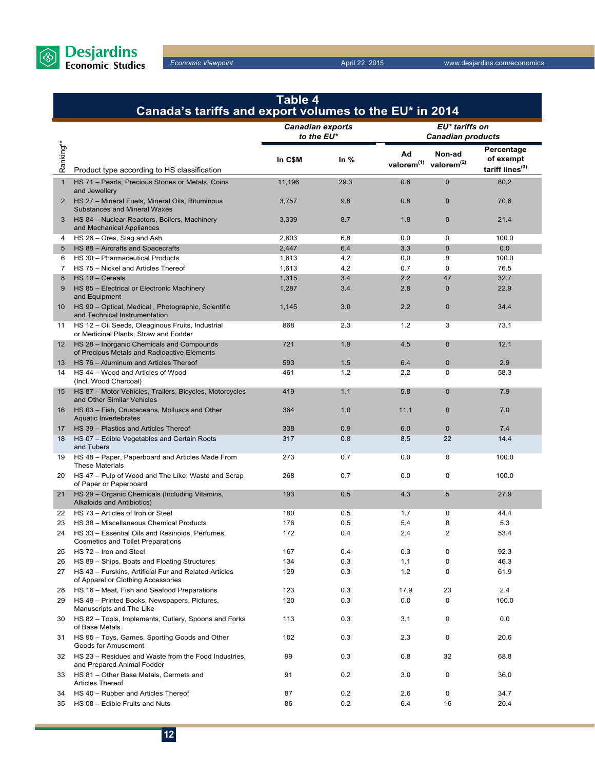

|                  | Table 4<br>Canada's tariffs and export volumes to the EU* in 2014                           |                                       |        |                                                     |                                            |                                                        |  |
|------------------|---------------------------------------------------------------------------------------------|---------------------------------------|--------|-----------------------------------------------------|--------------------------------------------|--------------------------------------------------------|--|
|                  |                                                                                             | <b>Canadian exports</b><br>to the EU* |        |                                                     | EU* tariffs on<br><b>Canadian products</b> |                                                        |  |
| Ranking**        | Product type according to HS classification                                                 | In C\$M                               | In $%$ | Ad<br>valorem <sup>(1)</sup> valorem <sup>(2)</sup> | Non-ad                                     | Percentage<br>of exempt<br>tariff lines <sup>(3)</sup> |  |
| $\mathbf{1}$     | HS 71 - Pearls, Precious Stones or Metals, Coins<br>and Jewellery                           | 11,196                                | 29.3   | 0.6                                                 | $\mathbf{0}$                               | 80.2                                                   |  |
| $\mathbf{2}$     | HS 27 - Mineral Fuels, Mineral Oils, Bituminous<br>Substances and Mineral Waxes             | 3,757                                 | 9.8    | 0.8                                                 | $\mathbf 0$                                | 70.6                                                   |  |
| 3                | HS 84 - Nuclear Reactors, Boilers, Machinery<br>and Mechanical Appliances                   | 3,339                                 | 8.7    | 1.8                                                 | $\mathbf{0}$                               | 21.4                                                   |  |
| 4                | HS 26 - Ores, Slag and Ash                                                                  | 2,603                                 | 6.8    | 0.0                                                 | 0                                          | 100.0                                                  |  |
| 5                | HS 88 - Aircrafts and Spacecrafts                                                           | 2,447                                 | 6.4    | 3.3                                                 | $\mathbf{0}$                               | 0.0                                                    |  |
| 6                | HS 30 - Pharmaceutical Products                                                             | 1,613                                 | 4.2    | 0.0                                                 | 0                                          | 100.0                                                  |  |
| $\overline{7}$   | HS 75 - Nickel and Articles Thereof                                                         | 1,613                                 | 4.2    | 0.7                                                 | 0                                          | 76.5                                                   |  |
| 8                | $HS 10 - Cereals$                                                                           | 1,315                                 | 3.4    | 2.2                                                 | 47                                         | 32.7                                                   |  |
| 9                | HS 85 - Electrical or Electronic Machinery<br>and Equipment                                 | 1,287                                 | 3.4    | 2.8                                                 | $\mathbf{0}$                               | 22.9                                                   |  |
| 10               | HS 90 - Optical, Medical, Photographic, Scientific<br>and Technical Instrumentation         | 1,145                                 | 3.0    | 2.2                                                 | $\mathbf 0$                                | 34.4                                                   |  |
| 11               | HS 12 - Oil Seeds, Oleaginous Fruits, Industrial<br>or Medicinal Plants, Straw and Fodder   | 868                                   | 2.3    | 1.2                                                 | 3                                          | 73.1                                                   |  |
| 12 <sup>12</sup> | HS 28 - Inorganic Chemicals and Compounds<br>of Precious Metals and Radioactive Elements    | 721                                   | 1.9    | 4.5                                                 | $\mathbf{0}$                               | 12.1                                                   |  |
| 13               | HS 76 - Aluminum and Articles Thereof                                                       | 593                                   | 1.5    | 6.4                                                 | $\mathbf{0}$                               | 2.9                                                    |  |
| 14               | HS 44 - Wood and Articles of Wood<br>(Incl. Wood Charcoal)                                  | 461                                   | 1.2    | 2.2                                                 | $\mathbf 0$                                | 58.3                                                   |  |
| 15               | HS 87 - Motor Vehicles, Trailers, Bicycles, Motorcycles<br>and Other Similar Vehicles       | 419                                   | 1.1    | 5.8                                                 | $\mathbf{0}$                               | 7.9                                                    |  |
| 16               | HS 03 - Fish, Crustaceans, Molluscs and Other<br>Aquatic Invertebrates                      | 364                                   | 1.0    | 11.1                                                | $\mathbf{0}$                               | 7.0                                                    |  |
| 17               | HS 39 - Plastics and Articles Thereof                                                       | 338                                   | 0.9    | 6.0                                                 | $\mathbf{0}$                               | 7.4                                                    |  |
| 18               | HS 07 - Edible Vegetables and Certain Roots<br>and Tubers                                   | 317                                   | 0.8    | 8.5                                                 | 22                                         | 14.4                                                   |  |
| 19               | HS 48 - Paper, Paperboard and Articles Made From<br><b>These Materials</b>                  | 273                                   | 0.7    | 0.0                                                 | $\mathbf 0$                                | 100.0                                                  |  |
| 20               | HS 47 - Pulp of Wood and The Like; Waste and Scrap<br>of Paper or Paperboard                | 268                                   | 0.7    | 0.0                                                 | $\mathbf 0$                                | 100.0                                                  |  |
| 21               | HS 29 - Organic Chemicals (Including Vitamins,<br>Alkaloids and Antibiotics)                | 193                                   | 0.5    | 4.3                                                 | 5                                          | 27.9                                                   |  |
| 22               | HS 73 - Articles of Iron or Steel                                                           | 180                                   | 0.5    | 1.7                                                 | 0                                          | 44.4                                                   |  |
| 23               | HS 38 - Miscellaneous Chemical Products                                                     | 176                                   | 0.5    | 5.4                                                 | 8                                          | 5.3                                                    |  |
| 24               | HS 33 – Essential Oils and Resinoids, Perfumes,<br><b>Cosmetics and Toilet Preparations</b> | 172                                   | 0.4    | 2.4                                                 | 2                                          | 53.4                                                   |  |
| 25               | HS 72 - Iron and Steel                                                                      | 167                                   | 0.4    | 0.3                                                 | $\mathbf 0$                                | 92.3                                                   |  |
| 26               | HS 89 - Ships, Boats and Floating Structures                                                | 134                                   | 0.3    | 1.1                                                 | 0                                          | 46.3                                                   |  |
| 27               | HS 43 - Furskins, Artificial Fur and Related Articles<br>of Apparel or Clothing Accessories | 129                                   | 0.3    | 1.2                                                 | 0                                          | 61.9                                                   |  |
| 28               | HS 16 - Meat, Fish and Seafood Preparations                                                 | 123                                   | 0.3    | 17.9                                                | 23                                         | 2.4                                                    |  |
| 29               | HS 49 - Printed Books, Newspapers, Pictures,<br>Manuscripts and The Like                    | 120                                   | 0.3    | 0.0                                                 | 0                                          | 100.0                                                  |  |
| 30               | HS 82 - Tools, Implements, Cutlery, Spoons and Forks<br>of Base Metals                      | 113                                   | 0.3    | 3.1                                                 | $\pmb{0}$                                  | 0.0                                                    |  |
| 31               | HS 95 - Toys, Games, Sporting Goods and Other<br>Goods for Amusement                        | 102                                   | 0.3    | 2.3                                                 | $\mathbf 0$                                | 20.6                                                   |  |
| 32               | HS 23 - Residues and Waste from the Food Industries,<br>and Prepared Animal Fodder          | 99                                    | 0.3    | 0.8                                                 | 32                                         | 68.8                                                   |  |
| 33               | HS 81 - Other Base Metals, Cermets and<br><b>Articles Thereof</b>                           | 91                                    | 0.2    | 3.0                                                 | $\mathbf 0$                                | 36.0                                                   |  |
| 34               | HS 40 - Rubber and Articles Thereof                                                         | 87                                    | 0.2    | 2.6                                                 | 0                                          | 34.7                                                   |  |
| 35               | HS 08 - Edible Fruits and Nuts                                                              | 86                                    | 0.2    | 6.4                                                 | 16                                         | 20.4                                                   |  |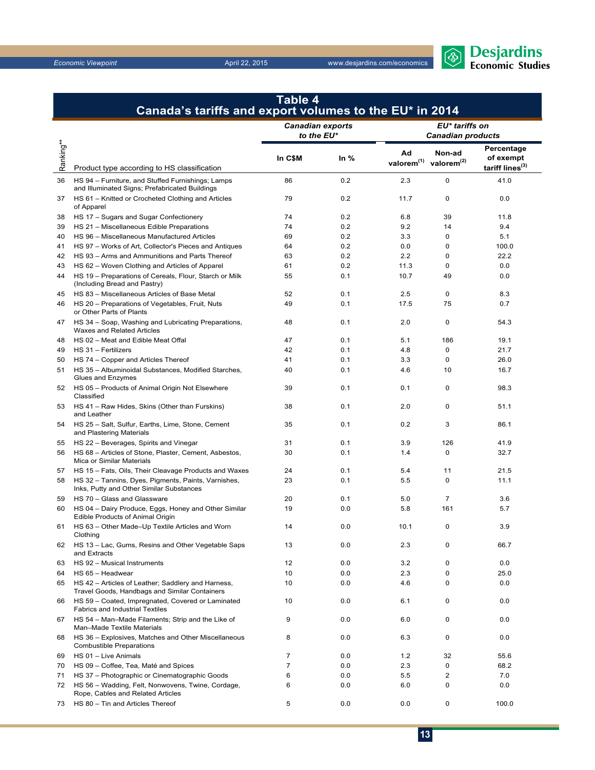

|           | Canada's tariffs and export volumes to the EU $^*$ in 2014                                                         |                                       |         |                              |                                            |                                                        |  |
|-----------|--------------------------------------------------------------------------------------------------------------------|---------------------------------------|---------|------------------------------|--------------------------------------------|--------------------------------------------------------|--|
|           |                                                                                                                    | <b>Canadian exports</b><br>to the EU* |         |                              | EU* tariffs on<br><b>Canadian products</b> |                                                        |  |
| Ranking** | Product type according to HS classification                                                                        | In C\$M                               | In $%$  | Ad<br>valorem <sup>(1)</sup> | Non-ad<br>valorem <sup>(2)</sup>           | Percentage<br>of exempt<br>tariff lines <sup>(3)</sup> |  |
| 36        | HS 94 - Furniture, and Stuffed Furnishings; Lamps                                                                  | 86                                    | 0.2     | 2.3                          | 0                                          | 41.0                                                   |  |
| 37        | and Illuminated Signs; Prefabricated Buildings<br>HS 61 - Knitted or Crocheted Clothing and Articles<br>of Apparel | 79                                    | 0.2     | 11.7                         | 0                                          | 0.0                                                    |  |
| 38        | HS 17 - Sugars and Sugar Confectionery                                                                             | 74                                    | 0.2     | 6.8                          | 39                                         | 11.8                                                   |  |
| 39        | HS 21 - Miscellaneous Edible Preparations                                                                          | 74                                    | 0.2     | 9.2                          | 14                                         | 9.4                                                    |  |
| 40        | HS 96 - Miscellaneous Manufactured Articles                                                                        | 69                                    | 0.2     | 3.3                          | 0                                          | 5.1                                                    |  |
| 41        | HS 97 - Works of Art, Collector's Pieces and Antiques                                                              | 64                                    | 0.2     | 0.0                          | 0                                          | 100.0                                                  |  |
| 42        | HS 93 - Arms and Ammunitions and Parts Thereof                                                                     | 63                                    | 0.2     | 2.2                          | 0                                          | 22.2                                                   |  |
| 43        | HS 62 - Woven Clothing and Articles of Apparel                                                                     | 61                                    | 0.2     | 11.3                         | 0                                          | 0.0                                                    |  |
| 44        | HS 19 - Preparations of Cereals, Flour, Starch or Milk<br>(Including Bread and Pastry)                             | 55                                    | 0.1     | 10.7                         | 49                                         | 0.0                                                    |  |
| 45        | HS 83 - Miscellaneous Articles of Base Metal                                                                       | 52                                    | 0.1     | 2.5                          | 0                                          | 8.3                                                    |  |
| 46        | HS 20 - Preparations of Vegetables, Fruit, Nuts<br>or Other Parts of Plants                                        | 49                                    | 0.1     | 17.5                         | 75                                         | 0.7                                                    |  |
| 47        | HS 34 - Soap, Washing and Lubricating Preparations,<br>Waxes and Related Articles                                  | 48                                    | 0.1     | 2.0                          | 0                                          | 54.3                                                   |  |
| 48        | HS 02 - Meat and Edible Meat Offal                                                                                 | 47                                    | 0.1     | 5.1                          | 186                                        | 19.1                                                   |  |
| 49        | HS 31 - Fertilizers                                                                                                | 42                                    | 0.1     | 4.8                          | 0                                          | 21.7                                                   |  |
| 50        | HS 74 - Copper and Articles Thereof                                                                                | 41                                    | 0.1     | 3.3                          | 0                                          | 26.0                                                   |  |
| 51        | HS 35 - Albuminoidal Substances, Modified Starches,<br>Glues and Enzymes                                           | 40                                    | 0.1     | 4.6                          | 10                                         | 16.7                                                   |  |
| 52        | HS 05 - Products of Animal Origin Not Elsewhere<br>Classified                                                      | 39                                    | 0.1     | 0.1                          | 0                                          | 98.3                                                   |  |
| 53        | HS 41 - Raw Hides, Skins (Other than Furskins)<br>and Leather                                                      | 38                                    | 0.1     | 2.0                          | 0                                          | 51.1                                                   |  |
| 54        | HS 25 - Salt, Sulfur, Earths, Lime, Stone, Cement<br>and Plastering Materials                                      | 35                                    | 0.1     | 0.2                          | 3                                          | 86.1                                                   |  |
| 55        | HS 22 - Beverages, Spirits and Vinegar                                                                             | 31                                    | 0.1     | 3.9                          | 126                                        | 41.9                                                   |  |
| 56        | HS 68 - Articles of Stone, Plaster, Cement, Asbestos,<br>Mica or Similar Materials                                 | 30                                    | 0.1     | 1.4                          | 0                                          | 32.7                                                   |  |
| 57        | HS 15 - Fats, Oils, Their Cleavage Products and Waxes                                                              | 24                                    | 0.1     | 5.4                          | 11                                         | 21.5                                                   |  |
| 58        | HS 32 - Tannins, Dyes, Pigments, Paints, Varnishes,<br>Inks, Putty and Other Similar Substances                    | 23                                    | 0.1     | 5.5                          | 0                                          | 11.1                                                   |  |
| 59        | HS 70 - Glass and Glassware                                                                                        | 20                                    | 0.1     | 5.0                          | $\overline{7}$                             | 3.6                                                    |  |
| 60        | HS 04 - Dairy Produce, Eggs, Honey and Other Similar<br>Edible Products of Animal Origin                           | 19                                    | 0.0     | 5.8                          | 161                                        | 5.7                                                    |  |
| 61        | HS 63 - Other Made-Up Textile Articles and Worn<br>Clothing                                                        | 14                                    | 0.0     | 10.1                         | 0                                          | 3.9                                                    |  |
| 62        | HS 13 - Lac, Gums, Resins and Other Vegetable Saps<br>and Extracts                                                 | 13                                    | $0.0\,$ | 2.3                          | 0                                          | 66.7                                                   |  |
| 63        | HS 92 - Musical Instruments                                                                                        | 12                                    | 0.0     | 3.2                          | 0                                          | 0.0                                                    |  |
| 64        | HS 65 - Headwear                                                                                                   | 10                                    | 0.0     | 2.3                          | 0                                          | 25.0                                                   |  |
| 65        | HS 42 - Articles of Leather; Saddlery and Harness,<br>Travel Goods, Handbags and Similar Containers                | 10                                    | 0.0     | 4.6                          | 0                                          | 0.0                                                    |  |
| 66        | HS 59 - Coated, Impregnated, Covered or Laminated<br><b>Fabrics and Industrial Textiles</b>                        | 10                                    | 0.0     | 6.1                          | 0                                          | 0.0                                                    |  |
| 67        | HS 54 - Man-Made Filaments; Strip and the Like of<br>Man-Made Textile Materials                                    | 9                                     | 0.0     | 6.0                          | 0                                          | 0.0                                                    |  |
| 68        | HS 36 - Explosives, Matches and Other Miscellaneous<br><b>Combustible Preparations</b>                             | 8                                     | 0.0     | 6.3                          | 0                                          | 0.0                                                    |  |
| 69        | HS 01 - Live Animals                                                                                               | 7                                     | 0.0     | 1.2                          | 32                                         | 55.6                                                   |  |
| 70        | HS 09 - Coffee, Tea, Maté and Spices                                                                               | $\overline{7}$                        | 0.0     | 2.3                          | 0                                          | 68.2                                                   |  |
| 71        | HS 37 - Photographic or Cinematographic Goods                                                                      | 6                                     | 0.0     | 5.5                          | 2                                          | 7.0                                                    |  |
| 72        | HS 56 - Wadding, Felt, Nonwovens, Twine, Cordage,<br>Rope, Cables and Related Articles                             | 6                                     | 0.0     | 6.0                          | 0                                          | 0.0                                                    |  |
| 73        | HS 80 - Tin and Articles Thereof                                                                                   | 5                                     | 0.0     | 0.0                          | 0                                          | 100.0                                                  |  |

## **Table 4 Canada's tariffs and export volumes to the EU\* in 2014**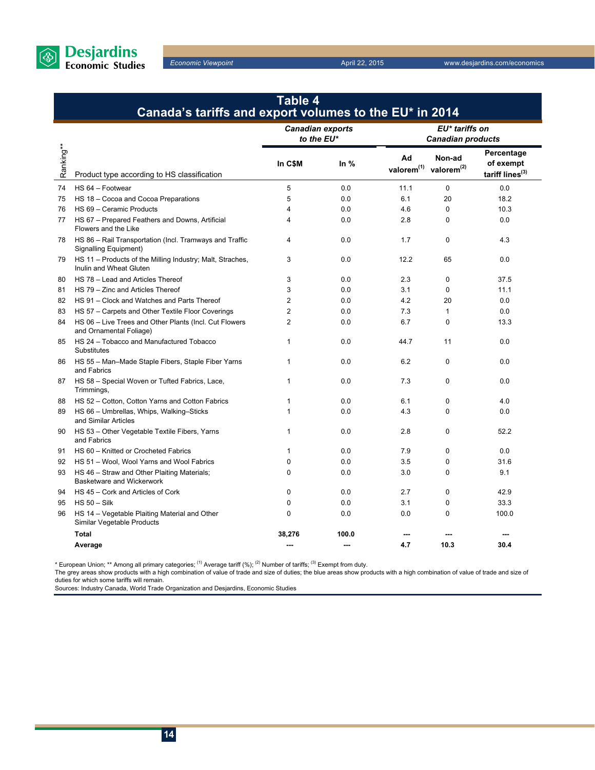

### **Table 4 Canada's tariffs and export volumes to the EU\* in 2014**

|           |                                                                                      | <b>Canadian exports</b><br>to the EU* |        | EU* tariffs on<br><b>Canadian products</b>          |              |                                                        |
|-----------|--------------------------------------------------------------------------------------|---------------------------------------|--------|-----------------------------------------------------|--------------|--------------------------------------------------------|
| Ranking** | Product type according to HS classification                                          | In C\$M                               | In $%$ | Ad<br>valorem <sup>(1)</sup> valorem <sup>(2)</sup> | Non-ad       | Percentage<br>of exempt<br>tariff lines <sup>(3)</sup> |
| 74        | HS 64 - Footwear                                                                     | 5                                     | 0.0    | 11.1                                                | $\mathbf 0$  | 0.0                                                    |
| 75        | HS 18 - Cocoa and Cocoa Preparations                                                 | 5                                     | 0.0    | 6.1                                                 | 20           | 18.2                                                   |
| 76        | HS 69 - Ceramic Products                                                             | 4                                     | 0.0    | 4.6                                                 | $\mathbf 0$  | 10.3                                                   |
| 77        | HS 67 - Prepared Feathers and Downs, Artificial<br>Flowers and the Like              | 4                                     | 0.0    | 2.8                                                 | $\mathbf 0$  | 0.0                                                    |
| 78        | HS 86 - Rail Transportation (Incl. Tramways and Traffic<br>Signalling Equipment)     | 4                                     | 0.0    | 1.7                                                 | 0            | 4.3                                                    |
| 79        | HS 11 - Products of the Milling Industry; Malt, Straches,<br>Inulin and Wheat Gluten | 3                                     | 0.0    | 12.2                                                | 65           | 0.0                                                    |
| 80        | HS 78 - Lead and Articles Thereof                                                    | 3                                     | 0.0    | 2.3                                                 | $\mathbf 0$  | 37.5                                                   |
| 81        | HS 79 - Zinc and Articles Thereof                                                    | 3                                     | 0.0    | 3.1                                                 | $\mathbf 0$  | 11.1                                                   |
| 82        | HS 91 - Clock and Watches and Parts Thereof                                          | $\overline{2}$                        | 0.0    | 4.2                                                 | 20           | 0.0                                                    |
| 83        | HS 57 - Carpets and Other Textile Floor Coverings                                    | 2                                     | 0.0    | 7.3                                                 | $\mathbf{1}$ | 0.0                                                    |
| 84        | HS 06 - Live Trees and Other Plants (Incl. Cut Flowers<br>and Ornamental Foliage)    | $\overline{2}$                        | 0.0    | 6.7                                                 | 0            | 13.3                                                   |
| 85        | HS 24 - Tobacco and Manufactured Tobacco<br>Substitutes                              | 1                                     | 0.0    | 44.7                                                | 11           | 0.0                                                    |
| 86        | HS 55 - Man-Made Staple Fibers, Staple Fiber Yarns<br>and Fabrics                    | 1                                     | 0.0    | 6.2                                                 | $\mathbf 0$  | 0.0                                                    |
| 87        | HS 58 - Special Woven or Tufted Fabrics, Lace,<br>Trimmings,                         | 1                                     | 0.0    | 7.3                                                 | $\mathbf 0$  | 0.0                                                    |
| 88        | HS 52 - Cotton, Cotton Yarns and Cotton Fabrics                                      | 1                                     | 0.0    | 6.1                                                 | 0            | 4.0                                                    |
| 89        | HS 66 - Umbrellas, Whips, Walking-Sticks<br>and Similar Articles                     | 1                                     | 0.0    | 4.3                                                 | $\Omega$     | 0.0                                                    |
| 90        | HS 53 - Other Vegetable Textile Fibers, Yarns<br>and Fabrics                         | 1                                     | 0.0    | 2.8                                                 | $\mathbf 0$  | 52.2                                                   |
| 91        | HS 60 - Knitted or Crocheted Fabrics                                                 | 1                                     | 0.0    | 7.9                                                 | $\mathbf 0$  | 0.0                                                    |
| 92        | HS 51 - Wool, Wool Yarns and Wool Fabrics                                            | $\mathbf 0$                           | 0.0    | 3.5                                                 | 0            | 31.6                                                   |
| 93        | HS 46 - Straw and Other Plaiting Materials;<br><b>Basketware and Wickerwork</b>      | 0                                     | 0.0    | 3.0                                                 | $\mathbf 0$  | 9.1                                                    |
| 94        | HS 45 - Cork and Articles of Cork                                                    | $\mathbf 0$                           | 0.0    | 2.7                                                 | $\mathbf 0$  | 42.9                                                   |
| 95        | $HS 50 - Silk$                                                                       | $\Omega$                              | 0.0    | 3.1                                                 | $\mathbf 0$  | 33.3                                                   |
| 96        | HS 14 - Vegetable Plaiting Material and Other<br>Similar Vegetable Products          | $\Omega$                              | 0.0    | 0.0                                                 | $\mathbf 0$  | 100.0                                                  |
|           | <b>Total</b>                                                                         | 38,276                                | 100.0  |                                                     |              |                                                        |
|           | Average                                                                              | ---                                   | ---    | 4.7                                                 | 10.3         | 30.4                                                   |

\* European Union; \*\* Among all primary categories; <sup>(1)</sup> Average tariff (%); <sup>(2)</sup> Number of tariffs; <sup>(3)</sup> Exempt from duty.

The grey areas show products with a high combination of value of trade and size of duties; the blue areas show products with a high combination of value of trade and size of duties for which some tariffs will remain.

Sources: Industry Canada, World Trade Organization and Desjardins, Economic Studies

**14**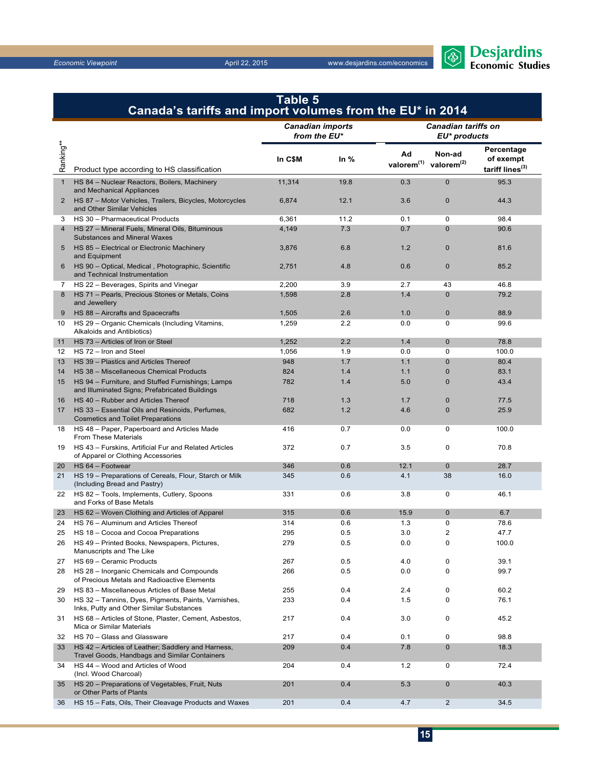

|                       | Canada's tariffs and import volumes from the EU* in 2014                                            | Table 5 |        |                                   |                                            |                                                        |
|-----------------------|-----------------------------------------------------------------------------------------------------|---------|--------|-----------------------------------|--------------------------------------------|--------------------------------------------------------|
|                       | <b>Canadian imports</b><br>from the EU*                                                             |         |        |                                   | <b>Canadian tariffs on</b><br>EU* products |                                                        |
| Ranking**             | Product type according to HS classification                                                         | In C\$M | In $%$ | Ad<br>valorem $(1)$ valorem $(2)$ | Non-ad                                     | Percentage<br>of exempt<br>tariff lines <sup>(3)</sup> |
| $\mathbf{1}$          | HS 84 - Nuclear Reactors, Boilers, Machinery<br>and Mechanical Appliances                           | 11,314  | 19.8   | 0.3                               | $\mathbf{0}$                               | 95.3                                                   |
| $\mathbf{2}^{\prime}$ | HS 87 - Motor Vehicles, Trailers, Bicycles, Motorcycles<br>and Other Similar Vehicles               | 6,874   | 12.1   | 3.6                               | $\mathbf{0}$                               | 44.3                                                   |
| 3                     | HS 30 - Pharmaceutical Products                                                                     | 6,361   | 11.2   | 0.1                               | 0                                          | 98.4                                                   |
| 4                     | HS 27 - Mineral Fuels, Mineral Oils, Bituminous<br><b>Substances and Mineral Waxes</b>              | 4,149   | 7.3    | 0.7                               | $\Omega$                                   | 90.6                                                   |
| 5                     | HS 85 - Electrical or Electronic Machinery<br>and Equipment                                         | 3,876   | 6.8    | 1.2                               | $\mathbf{0}$                               | 81.6                                                   |
| 6                     | HS 90 - Optical, Medical, Photographic, Scientific<br>and Technical Instrumentation                 | 2,751   | 4.8    | 0.6                               | $\mathbf{0}$                               | 85.2                                                   |
| 7                     | HS 22 - Beverages, Spirits and Vinegar                                                              | 2,200   | 3.9    | 2.7                               | 43                                         | 46.8                                                   |
| 8                     | HS 71 - Pearls, Precious Stones or Metals, Coins<br>and Jewellery                                   | 1,598   | 2.8    | 1.4                               | $\mathbf{0}$                               | 79.2                                                   |
| 9                     | HS 88 - Aircrafts and Spacecrafts                                                                   | 1,505   | 2.6    | 1.0                               | $\mathbf{0}$                               | 88.9                                                   |
| 10                    | HS 29 - Organic Chemicals (Including Vitamins,<br>Alkaloids and Antibiotics)                        | 1,259   | 2.2    | 0.0                               | 0                                          | 99.6                                                   |
| 11                    | HS 73 - Articles of Iron or Steel                                                                   | 1,252   | 2.2    | 1.4                               | $\mathbf 0$                                | 78.8                                                   |
| 12                    | HS 72 - Iron and Steel                                                                              | 1,056   | 1.9    | 0.0                               | $\mathbf 0$                                | 100.0                                                  |
| 13                    | HS 39 - Plastics and Articles Thereof                                                               | 948     | 1.7    | 1.1                               | $\mathbf{0}$                               | 80.4                                                   |
| 14                    | HS 38 - Miscellaneous Chemical Products                                                             | 824     | 1.4    | 1.1                               | $\mathbf{0}$                               | 83.1                                                   |
| 15                    | HS 94 - Furniture, and Stuffed Furnishings; Lamps<br>and Illuminated Signs; Prefabricated Buildings | 782     | 1.4    | 5.0                               | $\mathbf{0}$                               | 43.4                                                   |
| 16                    | HS 40 - Rubber and Articles Thereof                                                                 | 718     | 1.3    | 1.7                               | $\mathbf 0$                                | 77.5                                                   |
| 17                    | HS 33 - Essential Oils and Resinoids, Perfumes,<br><b>Cosmetics and Toilet Preparations</b>         | 682     | 1.2    | 4.6                               | $\mathbf 0$                                | 25.9                                                   |
| 18                    | HS 48 - Paper, Paperboard and Articles Made<br><b>From These Materials</b>                          | 416     | 0.7    | 0.0                               | 0                                          | 100.0                                                  |
| 19                    | HS 43 - Furskins, Artificial Fur and Related Articles<br>of Apparel or Clothing Accessories         | 372     | 0.7    | 3.5                               | $\mathbf 0$                                | 70.8                                                   |
| 20                    | HS 64 - Footwear                                                                                    | 346     | 0.6    | 12.1                              | $\mathbf{0}$                               | 28.7                                                   |
| 21                    | HS 19 - Preparations of Cereals, Flour, Starch or Milk<br>(Including Bread and Pastry)              | 345     | 0.6    | 4.1                               | 38                                         | 16.0                                                   |
| 22                    | HS 82 - Tools, Implements, Cutlery, Spoons<br>and Forks of Base Metals                              | 331     | 0.6    | 3.8                               | $\mathbf 0$                                | 46.1                                                   |
| 23                    | HS 62 - Woven Clothing and Articles of Apparel                                                      | 315     | 0.6    | 15.9                              | $\mathbf 0$                                | 6.7                                                    |
| 24                    | HS 76 - Aluminum and Articles Thereof                                                               | 314     | 0.6    | 1.3                               | 0                                          | 78.6                                                   |
| 25                    | HS 18 - Cocoa and Cocoa Preparations                                                                | 295     | 0.5    | 3.0                               | 2                                          | 47.7                                                   |
| 26                    | HS 49 - Printed Books, Newspapers, Pictures,<br>Manuscripts and The Like                            | 279     | 0.5    | 0.0                               | $\pmb{0}$                                  | 100.0                                                  |
| 27                    | HS 69 - Ceramic Products                                                                            | 267     | 0.5    | 4.0                               | 0                                          | 39.1                                                   |
| 28                    | HS 28 - Inorganic Chemicals and Compounds<br>of Precious Metals and Radioactive Elements            | 266     | 0.5    | 0.0                               | 0                                          | 99.7                                                   |
| 29                    | HS 83 - Miscellaneous Articles of Base Metal                                                        | 255     | 0.4    | 2.4                               | 0                                          | 60.2                                                   |
| 30                    | HS 32 - Tannins, Dyes, Pigments, Paints, Varnishes,<br>Inks, Putty and Other Similar Substances     | 233     | 0.4    | 1.5                               | 0                                          | 76.1                                                   |
| 31                    | HS 68 - Articles of Stone, Plaster, Cement, Asbestos,<br>Mica or Similar Materials                  | 217     | 0.4    | 3.0                               | 0                                          | 45.2                                                   |
| 32                    | HS 70 - Glass and Glassware                                                                         | 217     | 0.4    | 0.1                               | 0                                          | 98.8                                                   |
| 33                    | HS 42 - Articles of Leather; Saddlery and Harness,<br>Travel Goods, Handbags and Similar Containers | 209     | 0.4    | 7.8                               | $\mathbf 0$                                | 18.3                                                   |
| 34                    | HS 44 - Wood and Articles of Wood<br>(Incl. Wood Charcoal)                                          | 204     | 0.4    | 1.2                               | 0                                          | 72.4                                                   |
| 35                    | HS 20 - Preparations of Vegetables, Fruit, Nuts<br>or Other Parts of Plants                         | 201     | 0.4    | 5.3                               | $\mathbf 0$                                | 40.3                                                   |
| 36                    | HS 15 - Fats, Oils, Their Cleavage Products and Waxes                                               | 201     | 0.4    | 4.7                               | 2                                          | 34.5                                                   |

## **15**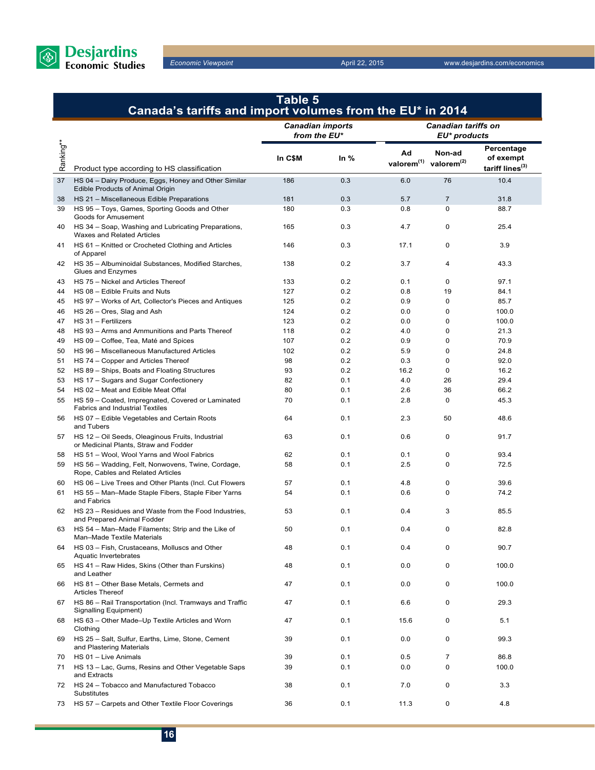

|           | <b>Table 5</b><br>Canada's tariffs and import volumes from the EU* in 2014                      |                                         |        |                                                     |                                            |                                                        |
|-----------|-------------------------------------------------------------------------------------------------|-----------------------------------------|--------|-----------------------------------------------------|--------------------------------------------|--------------------------------------------------------|
|           |                                                                                                 | <b>Canadian imports</b><br>from the EU* |        |                                                     | <b>Canadian tariffs on</b><br>EU* products |                                                        |
| Ranking** | Product type according to HS classification                                                     | In C\$M                                 | In $%$ | Ad<br>valorem <sup>(1)</sup> valorem <sup>(2)</sup> | Non-ad                                     | Percentage<br>of exempt<br>tariff lines <sup>(3)</sup> |
| 37        | HS 04 - Dairy Produce, Eggs, Honey and Other Similar<br><b>Edible Products of Animal Origin</b> | 186                                     | 0.3    | 6.0                                                 | 76                                         | 10.4                                                   |
| 38        | HS 21 - Miscellaneous Edible Preparations                                                       | 181                                     | 0.3    | 5.7                                                 | $\overline{7}$                             | 31.8                                                   |
| 39        | HS 95 - Toys, Games, Sporting Goods and Other<br>Goods for Amusement                            | 180                                     | 0.3    | 0.8                                                 | 0                                          | 88.7                                                   |
| 40        | HS 34 - Soap, Washing and Lubricating Preparations,<br>Waxes and Related Articles               | 165                                     | 0.3    | 4.7                                                 | 0                                          | 25.4                                                   |
| 41        | HS 61 - Knitted or Crocheted Clothing and Articles<br>of Apparel                                | 146                                     | 0.3    | 17.1                                                | 0                                          | 3.9                                                    |
| 42        | HS 35 - Albuminoidal Substances, Modified Starches,<br>Glues and Enzymes                        | 138                                     | 0.2    | 3.7                                                 | 4                                          | 43.3                                                   |
| 43        | HS 75 - Nickel and Articles Thereof                                                             | 133                                     | 0.2    | 0.1                                                 | 0                                          | 97.1                                                   |
| 44        | HS 08 - Edible Fruits and Nuts                                                                  | 127                                     | 0.2    | 0.8                                                 | 19                                         | 84.1                                                   |
| 45        | HS 97 - Works of Art, Collector's Pieces and Antiques                                           | 125                                     | 0.2    | 0.9                                                 | 0                                          | 85.7                                                   |
| 46        | HS 26 - Ores, Slag and Ash                                                                      | 124                                     | 0.2    | 0.0                                                 | 0                                          | 100.0                                                  |
| 47        | HS 31 - Fertilizers                                                                             | 123                                     | 0.2    | 0.0                                                 | 0                                          | 100.0                                                  |
| 48        | HS 93 - Arms and Ammunitions and Parts Thereof                                                  | 118                                     | 0.2    | 4.0                                                 | 0                                          | 21.3                                                   |
| 49        | HS 09 - Coffee, Tea, Maté and Spices                                                            | 107                                     | 0.2    | 0.9                                                 | 0                                          | 70.9                                                   |
| 50        | HS 96 - Miscellaneous Manufactured Articles                                                     | 102                                     | 0.2    | 5.9                                                 | 0                                          | 24.8                                                   |
| 51        | HS 74 - Copper and Articles Thereof                                                             | 98                                      | 0.2    | 0.3                                                 | 0                                          | 92.0                                                   |
| 52        | HS 89 - Ships, Boats and Floating Structures                                                    | 93                                      | 0.2    | 16.2                                                | 0                                          | 16.2                                                   |
| 53        | HS 17 - Sugars and Sugar Confectionery                                                          | 82                                      | 0.1    | 4.0                                                 | 26                                         | 29.4                                                   |
| 54        | HS 02 - Meat and Edible Meat Offal                                                              | 80                                      | 0.1    | 2.6                                                 | 36                                         | 66.2                                                   |
| 55        | HS 59 - Coated, Impregnated, Covered or Laminated                                               | 70                                      | 0.1    | 2.8                                                 | 0                                          | 45.3                                                   |
|           | <b>Fabrics and Industrial Textiles</b>                                                          |                                         |        |                                                     |                                            |                                                        |
| 56        | HS 07 - Edible Vegetables and Certain Roots<br>and Tubers                                       | 64                                      | 0.1    | 2.3                                                 | 50                                         | 48.6                                                   |
| 57        | HS 12 - Oil Seeds, Oleaginous Fruits, Industrial<br>or Medicinal Plants, Straw and Fodder       | 63                                      | 0.1    | 0.6                                                 | 0                                          | 91.7                                                   |
| 58        | HS 51 - Wool, Wool Yarns and Wool Fabrics                                                       | 62                                      | 0.1    | 0.1                                                 | 0                                          | 93.4                                                   |
| 59        | HS 56 - Wadding, Felt, Nonwovens, Twine, Cordage,<br>Rope, Cables and Related Articles          | 58                                      | 0.1    | 2.5                                                 | 0                                          | 72.5                                                   |
| 60        | HS 06 - Live Trees and Other Plants (Incl. Cut Flowers                                          | 57                                      | 0.1    | 4.8                                                 | 0                                          | 39.6                                                   |
| 61        | HS 55 - Man-Made Staple Fibers, Staple Fiber Yarns<br>and Fabrics                               | 54                                      | 0.1    | 0.6                                                 | 0                                          | 74.2                                                   |
| 62        | HS 23 - Residues and Waste from the Food Industries,<br>and Prepared Animal Fodder              | 53                                      | 0.1    | 0.4                                                 | 3                                          | 85.5                                                   |
|           | HS 54 - Man-Made Filaments; Strip and the Like of<br>Man-Made Textile Materials                 | 50                                      | 0.1    | 0.4                                                 | 0                                          | 82.8                                                   |
| 64        | HS 03 - Fish, Crustaceans, Molluscs and Other<br>Aquatic Invertebrates                          | 48                                      | 0.1    | 0.4                                                 | 0                                          | 90.7                                                   |
| 65        | HS 41 - Raw Hides, Skins (Other than Furskins)<br>and Leather                                   | 48                                      | 0.1    | 0.0                                                 | 0                                          | 100.0                                                  |
| 66        | HS 81 - Other Base Metals, Cermets and<br><b>Articles Thereof</b>                               | 47                                      | 0.1    | 0.0                                                 | 0                                          | 100.0                                                  |
| 67        | HS 86 - Rail Transportation (Incl. Tramways and Traffic<br>Signalling Equipment)                | 47                                      | 0.1    | 6.6                                                 | 0                                          | 29.3                                                   |
| 68        | HS 63 - Other Made-Up Textile Articles and Worn<br>Clothing                                     | 47                                      | 0.1    | 15.6                                                | 0                                          | 5.1                                                    |
| 69        | HS 25 - Salt, Sulfur, Earths, Lime, Stone, Cement<br>and Plastering Materials                   | 39                                      | 0.1    | 0.0                                                 | 0                                          | 99.3                                                   |
| 70        | HS 01 - Live Animals                                                                            | 39                                      | 0.1    | 0.5                                                 | 7                                          | 86.8                                                   |
| 71        | HS 13 - Lac, Gums, Resins and Other Vegetable Saps<br>and Extracts                              | 39                                      | 0.1    | 0.0                                                 | 0                                          | 100.0                                                  |
| 72        | HS 24 - Tobacco and Manufactured Tobacco<br>Substitutes                                         | 38                                      | 0.1    | 7.0                                                 | 0                                          | 3.3                                                    |
| 73        | HS 57 - Carpets and Other Textile Floor Coverings                                               | 36                                      | 0.1    | 11.3                                                | 0                                          | 4.8                                                    |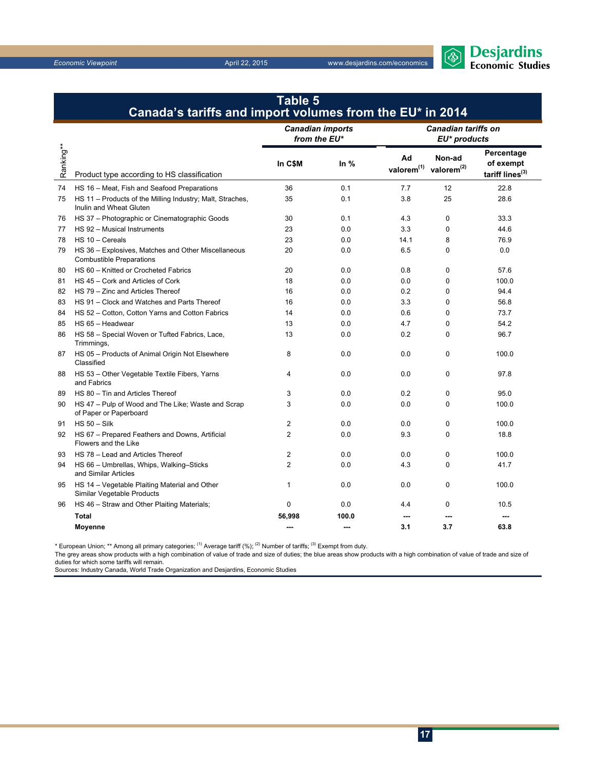

|           | Canada's tariffs and import volumes from the EU* in 2014                               |                                         |        |                                   |                                            |                                                        |  |
|-----------|----------------------------------------------------------------------------------------|-----------------------------------------|--------|-----------------------------------|--------------------------------------------|--------------------------------------------------------|--|
|           |                                                                                        | <b>Canadian imports</b><br>from the EU* |        |                                   | <b>Canadian tariffs on</b><br>EU* products |                                                        |  |
| Ranking** | Product type according to HS classification                                            | In C\$M                                 | In $%$ | Ad<br>valorem $(1)$ valorem $(2)$ | Non-ad                                     | Percentage<br>of exempt<br>tariff lines <sup>(3)</sup> |  |
| 74        | HS 16 - Meat, Fish and Seafood Preparations                                            | 36                                      | 0.1    | 7.7                               | 12                                         | 22.8                                                   |  |
| 75        | HS 11 - Products of the Milling Industry; Malt, Straches,<br>Inulin and Wheat Gluten   | 35                                      | 0.1    | 3.8                               | 25                                         | 28.6                                                   |  |
| 76        | HS 37 - Photographic or Cinematographic Goods                                          | 30                                      | 0.1    | 4.3                               | 0                                          | 33.3                                                   |  |
| 77        | HS 92 - Musical Instruments                                                            | 23                                      | 0.0    | 3.3                               | 0                                          | 44.6                                                   |  |
| 78        | HS 10 - Cereals                                                                        | 23                                      | 0.0    | 14.1                              | 8                                          | 76.9                                                   |  |
| 79        | HS 36 - Explosives, Matches and Other Miscellaneous<br><b>Combustible Preparations</b> | 20                                      | 0.0    | 6.5                               | 0                                          | 0.0                                                    |  |
| 80        | HS 60 - Knitted or Crocheted Fabrics                                                   | 20                                      | 0.0    | 0.8                               | 0                                          | 57.6                                                   |  |
| 81        | HS 45 - Cork and Articles of Cork                                                      | 18                                      | 0.0    | 0.0                               | $\Omega$                                   | 100.0                                                  |  |
| 82        | HS 79 - Zinc and Articles Thereof                                                      | 16                                      | 0.0    | 0.2                               | 0                                          | 94.4                                                   |  |
| 83        | HS 91 - Clock and Watches and Parts Thereof                                            | 16                                      | 0.0    | 3.3                               | 0                                          | 56.8                                                   |  |
| 84        | HS 52 - Cotton, Cotton Yarns and Cotton Fabrics                                        | 14                                      | 0.0    | 0.6                               | 0                                          | 73.7                                                   |  |
| 85        | HS 65 - Headwear                                                                       | 13                                      | 0.0    | 4.7                               | $\mathbf 0$                                | 54.2                                                   |  |
| 86        | HS 58 - Special Woven or Tufted Fabrics, Lace,<br>Trimmings,                           | 13                                      | 0.0    | 0.2                               | 0                                          | 96.7                                                   |  |
| 87        | HS 05 - Products of Animal Origin Not Elsewhere<br>Classified                          | 8                                       | 0.0    | 0.0                               | 0                                          | 100.0                                                  |  |
| 88        | HS 53 - Other Vegetable Textile Fibers, Yarns<br>and Fabrics                           | 4                                       | 0.0    | 0.0                               | $\mathbf 0$                                | 97.8                                                   |  |
| 89        | HS 80 - Tin and Articles Thereof                                                       | 3                                       | 0.0    | 0.2                               | 0                                          | 95.0                                                   |  |
| 90        | HS 47 - Pulp of Wood and The Like; Waste and Scrap<br>of Paper or Paperboard           | 3                                       | 0.0    | 0.0                               | $\Omega$                                   | 100.0                                                  |  |
| 91        | $HS 50 - Silk$                                                                         | $\overline{2}$                          | 0.0    | 0.0                               | 0                                          | 100.0                                                  |  |
| 92        | HS 67 - Prepared Feathers and Downs, Artificial<br>Flowers and the Like                | $\overline{2}$                          | 0.0    | 9.3                               | $\mathbf 0$                                | 18.8                                                   |  |
| 93        | HS 78 - Lead and Articles Thereof                                                      | $\overline{2}$                          | 0.0    | 0.0                               | 0                                          | 100.0                                                  |  |
| 94        | HS 66 - Umbrellas, Whips, Walking-Sticks<br>and Similar Articles                       | $\overline{2}$                          | 0.0    | 4.3                               | 0                                          | 41.7                                                   |  |
| 95        | HS 14 - Vegetable Plaiting Material and Other<br>Similar Vegetable Products            | 1                                       | 0.0    | 0.0                               | $\mathbf 0$                                | 100.0                                                  |  |
| 96        | HS 46 - Straw and Other Plaiting Materials;                                            | $\mathbf 0$                             | 0.0    | 4.4                               | 0                                          | 10.5                                                   |  |
|           | <b>Total</b>                                                                           | 56,998                                  | 100.0  | ---                               |                                            | ---                                                    |  |
|           | <b>Moyenne</b>                                                                         | ---                                     | ---    | 3.1                               | 3.7                                        | 63.8                                                   |  |

**Table 5**

\* European Union; \*\* Among all primary categories; <sup>(1)</sup> Average tariff (%); <sup>(2)</sup> Number of tariffs; <sup>(3)</sup> Exempt from duty.

The grey areas show products with a high combination of value of trade and size of duties; the blue areas show products with a high combination of value of trade and size of duties for which some tariffs will remain.

Sources: Industry Canada, World Trade Organization and Desjardins, Economic Studies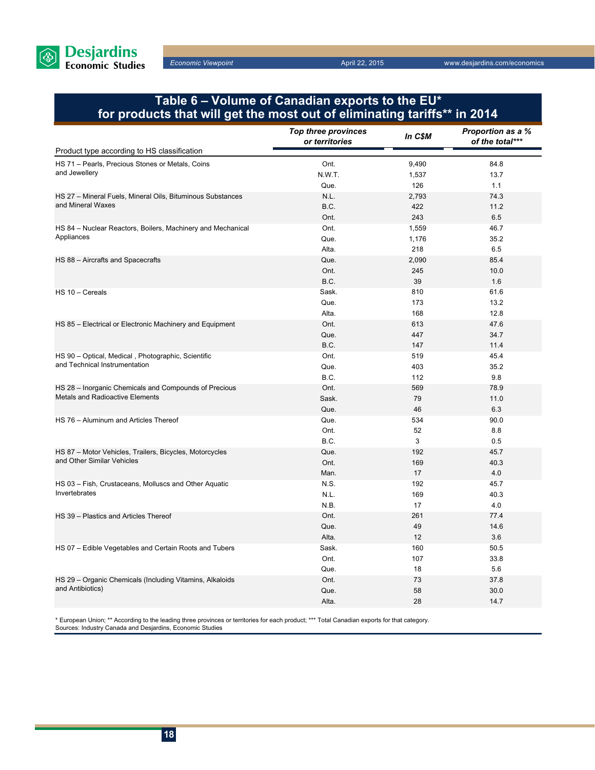

## **Table 6 – Volume of Canadian exports to the EU\* for products that will get the most out of eliminating tariffs\*\* in 2014**

|                                                             | <b>Top three provinces</b><br>or territories | In C\$M | Proportion as a %<br>of the total*** |
|-------------------------------------------------------------|----------------------------------------------|---------|--------------------------------------|
| Product type according to HS classification                 |                                              |         |                                      |
| HS 71 - Pearls, Precious Stones or Metals, Coins            | Ont.                                         | 9,490   | 84.8                                 |
| and Jewellery                                               | N.W.T.                                       | 1,537   | 13.7                                 |
|                                                             | Que.                                         | 126     | 1.1                                  |
| HS 27 - Mineral Fuels, Mineral Oils, Bituminous Substances  | N.L.                                         | 2,793   | 74.3                                 |
| and Mineral Waxes                                           | B.C.                                         | 422     | 11.2                                 |
|                                                             | Ont.                                         | 243     | 6.5                                  |
| HS 84 - Nuclear Reactors, Boilers, Machinery and Mechanical | Ont.                                         | 1,559   | 46.7                                 |
| Appliances                                                  | Que.                                         | 1,176   | 35.2                                 |
|                                                             | Alta.                                        | 218     | 6.5                                  |
| HS 88 - Aircrafts and Spacecrafts                           | Que.                                         | 2,090   | 85.4                                 |
|                                                             | Ont.                                         | 245     | 10.0                                 |
|                                                             | B.C.                                         | 39      | 1.6                                  |
| HS 10 - Cereals                                             | Sask.                                        | 810     | 61.6                                 |
|                                                             | Que.                                         | 173     | 13.2                                 |
|                                                             | Alta.                                        | 168     | 12.8                                 |
| HS 85 - Electrical or Electronic Machinery and Equipment    | Ont.                                         | 613     | 47.6                                 |
|                                                             | Que.                                         | 447     | 34.7                                 |
|                                                             | B.C.                                         | 147     | 11.4                                 |
| HS 90 - Optical, Medical, Photographic, Scientific          | Ont.                                         | 519     | 45.4                                 |
| and Technical Instrumentation                               | Que.                                         | 403     | 35.2                                 |
|                                                             | B.C.                                         | 112     | 9.8                                  |
| HS 28 - Inorganic Chemicals and Compounds of Precious       | Ont.                                         | 569     | 78.9                                 |
| <b>Metals and Radioactive Elements</b>                      | Sask.                                        | 79      | 11.0                                 |
|                                                             | Que.                                         | 46      | 6.3                                  |
| HS 76 - Aluminum and Articles Thereof                       | Que.                                         | 534     | 90.0                                 |
|                                                             | Ont.                                         | 52      | 8.8                                  |
|                                                             | B.C.                                         | 3       | 0.5                                  |
| HS 87 - Motor Vehicles, Trailers, Bicycles, Motorcycles     | Que.                                         | 192     | 45.7                                 |
| and Other Similar Vehicles                                  | Ont.                                         | 169     | 40.3                                 |
|                                                             | Man.                                         | 17      | 4.0                                  |
| HS 03 - Fish, Crustaceans, Molluscs and Other Aquatic       | N.S.                                         | 192     | 45.7                                 |
| Invertebrates                                               | N.L.                                         | 169     | 40.3                                 |
|                                                             | N.B.                                         | 17      | 4.0                                  |
| HS 39 - Plastics and Articles Thereof                       | Ont.                                         | 261     | 77.4                                 |
|                                                             | Que.                                         | 49      | 14.6                                 |
|                                                             | Alta.                                        | 12      | 3.6                                  |
| HS 07 - Edible Vegetables and Certain Roots and Tubers      | Sask.                                        | 160     | 50.5                                 |
|                                                             | Ont.                                         | 107     | 33.8                                 |
|                                                             | Que.                                         | 18      | 5.6                                  |
| HS 29 - Organic Chemicals (Including Vitamins, Alkaloids    | Ont.                                         | 73      | 37.8                                 |
| and Antibiotics)                                            | Que.                                         | 58      | 30.0                                 |
|                                                             | Alta.                                        | 28      | 14.7                                 |

\* European Union; \*\* According to the leading three provinces or territories for each product; \*\*\* Total Canadian exports for that category. Sources: Industry Canada and Desjardins, Economic Studies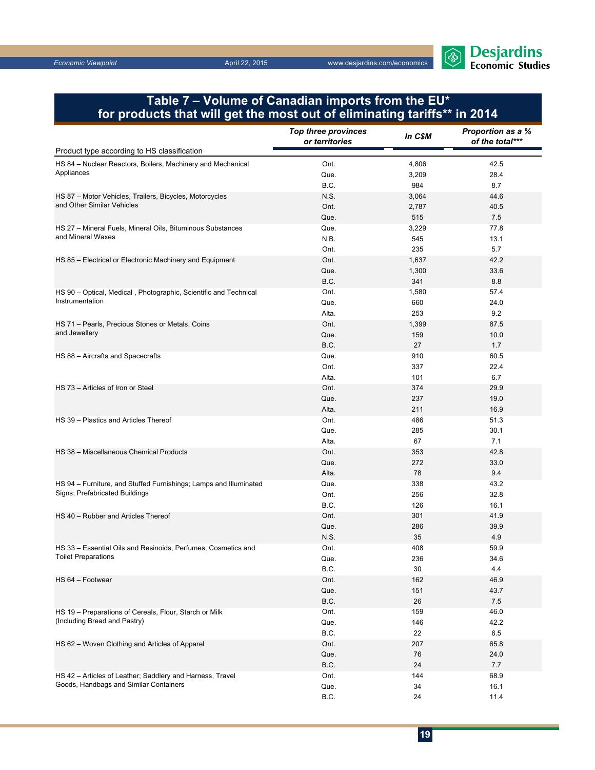

## **Table 7 – Volume of Canadian imports from the EU\* for products that will get the most out of eliminating tariffs\*\* in 2014**

|                                                                   | <b>Top three provinces</b><br>or territories | In C\$M | Proportion as a %<br>of the total*** |
|-------------------------------------------------------------------|----------------------------------------------|---------|--------------------------------------|
| Product type according to HS classification                       |                                              |         |                                      |
| HS 84 - Nuclear Reactors, Boilers, Machinery and Mechanical       | Ont.                                         | 4,806   | 42.5                                 |
| Appliances                                                        | Que.                                         | 3,209   | 28.4                                 |
|                                                                   | B.C.                                         | 984     | 8.7                                  |
| HS 87 - Motor Vehicles, Trailers, Bicycles, Motorcycles           | N.S.                                         | 3,064   | 44.6                                 |
| and Other Similar Vehicles                                        | Ont.                                         | 2,787   | 40.5                                 |
|                                                                   | Que.                                         | 515     | 7.5                                  |
| HS 27 - Mineral Fuels, Mineral Oils, Bituminous Substances        | Que.                                         | 3,229   | 77.8                                 |
| and Mineral Waxes                                                 | N.B.                                         | 545     | 13.1                                 |
|                                                                   | Ont.                                         | 235     | 5.7                                  |
| HS 85 - Electrical or Electronic Machinery and Equipment          | Ont.                                         | 1,637   | 42.2                                 |
|                                                                   | Que.                                         | 1,300   | 33.6                                 |
|                                                                   | B.C.                                         | 341     | 8.8                                  |
| HS 90 - Optical, Medical, Photographic, Scientific and Technical  | Ont.                                         | 1,580   | 57.4                                 |
| Instrumentation                                                   | Que.                                         | 660     | 24.0                                 |
|                                                                   | Alta.                                        | 253     | 9.2                                  |
| HS 71 - Pearls, Precious Stones or Metals, Coins                  | Ont.                                         | 1,399   | 87.5                                 |
| and Jewellery                                                     | Que.                                         | 159     | 10.0                                 |
|                                                                   | B.C.                                         | 27      | 1.7                                  |
| HS 88 - Aircrafts and Spacecrafts                                 | Que.                                         | 910     | 60.5                                 |
|                                                                   | Ont.                                         | 337     | 22.4                                 |
|                                                                   | Alta.                                        | 101     | 6.7                                  |
| HS 73 - Articles of Iron or Steel                                 | Ont.                                         | 374     | 29.9                                 |
|                                                                   | Que.                                         | 237     | 19.0                                 |
|                                                                   | Alta.                                        | 211     | 16.9                                 |
| HS 39 - Plastics and Articles Thereof                             | Ont.                                         | 486     | 51.3                                 |
|                                                                   | Que.                                         | 285     | 30.1                                 |
|                                                                   | Alta.                                        | 67      | 7.1                                  |
| HS 38 - Miscellaneous Chemical Products                           | Ont.                                         | 353     | 42.8                                 |
|                                                                   | Que.                                         | 272     | 33.0                                 |
|                                                                   | Alta.                                        | 78      | 9.4                                  |
| HS 94 - Furniture, and Stuffed Furnishings; Lamps and Illuminated | Que.                                         | 338     | 43.2                                 |
| Signs; Prefabricated Buildings                                    | Ont.                                         | 256     | 32.8                                 |
|                                                                   | B.C.                                         | 126     | 16.1                                 |
| HS 40 - Rubber and Articles Thereof                               | Ont.                                         | 301     | 41.9                                 |
|                                                                   | Que.                                         | 286     | 39.9                                 |
|                                                                   | N.S.                                         | 35      | 4.9                                  |
| HS 33 - Essential Oils and Resinoids, Perfumes, Cosmetics and     | Ont.                                         | 408     | 59.9                                 |
| <b>Toilet Preparations</b>                                        | Que.                                         | 236     | 34.6                                 |
|                                                                   | B.C.                                         | 30      | 4.4                                  |
| HS 64 - Footwear                                                  | Ont.                                         | 162     | 46.9                                 |
|                                                                   | Que.                                         | 151     | 43.7                                 |
|                                                                   | B.C.                                         | 26      | 7.5                                  |
| HS 19 - Preparations of Cereals, Flour, Starch or Milk            | Ont.                                         | 159     | 46.0                                 |
| (Including Bread and Pastry)                                      | Que.                                         | 146     | 42.2                                 |
|                                                                   | B.C.                                         | 22      | 6.5                                  |
| HS 62 - Woven Clothing and Articles of Apparel                    | Ont.                                         | 207     | 65.8                                 |
|                                                                   | Que.                                         | 76      | 24.0                                 |
|                                                                   | B.C.                                         | 24      | 7.7                                  |
| HS 42 - Articles of Leather; Saddlery and Harness, Travel         | Ont.                                         | 144     | 68.9                                 |
| Goods, Handbags and Similar Containers                            | Que.                                         | 34      | 16.1                                 |
|                                                                   | B.C.                                         | 24      | 11.4                                 |